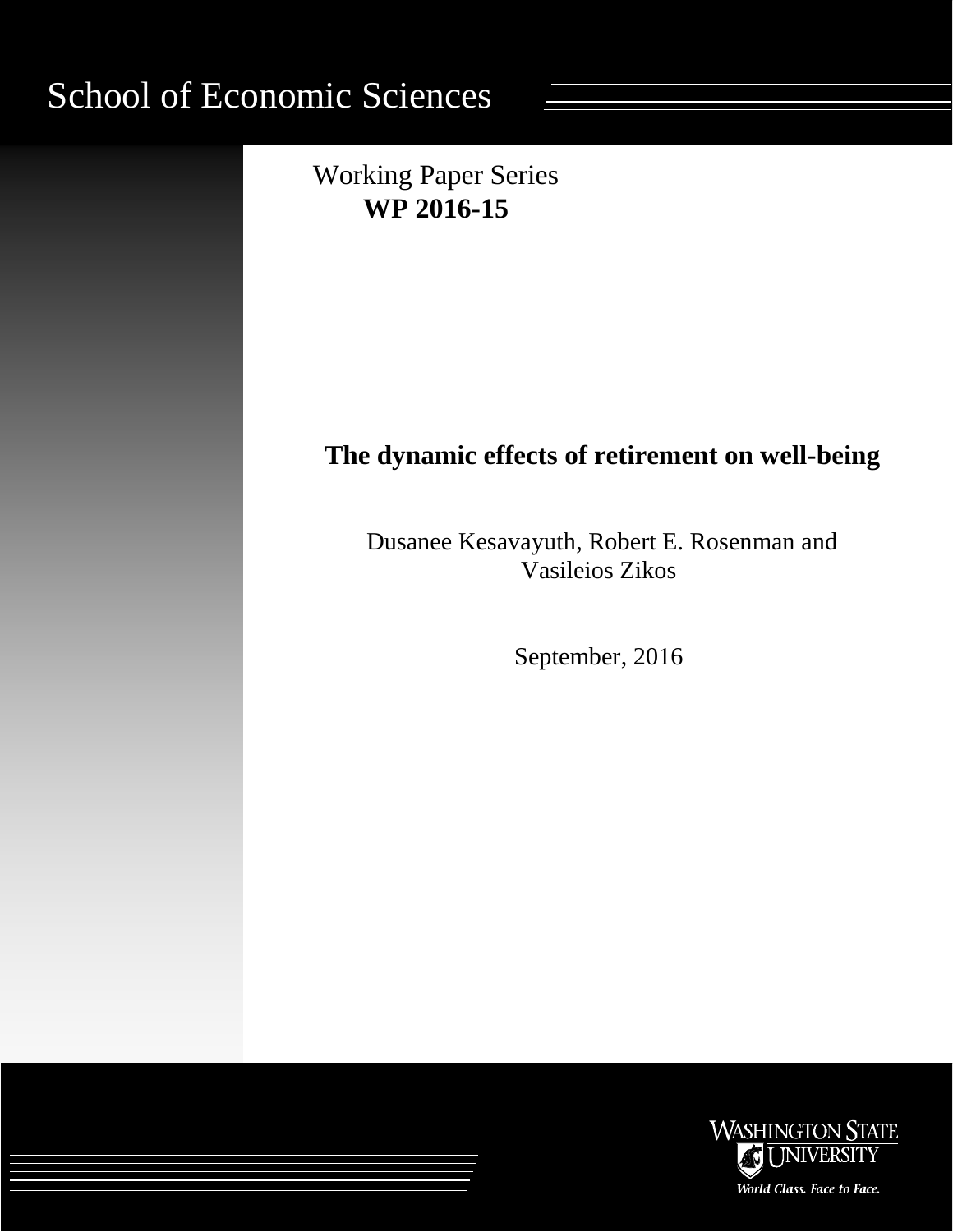# School of Economic Sciences



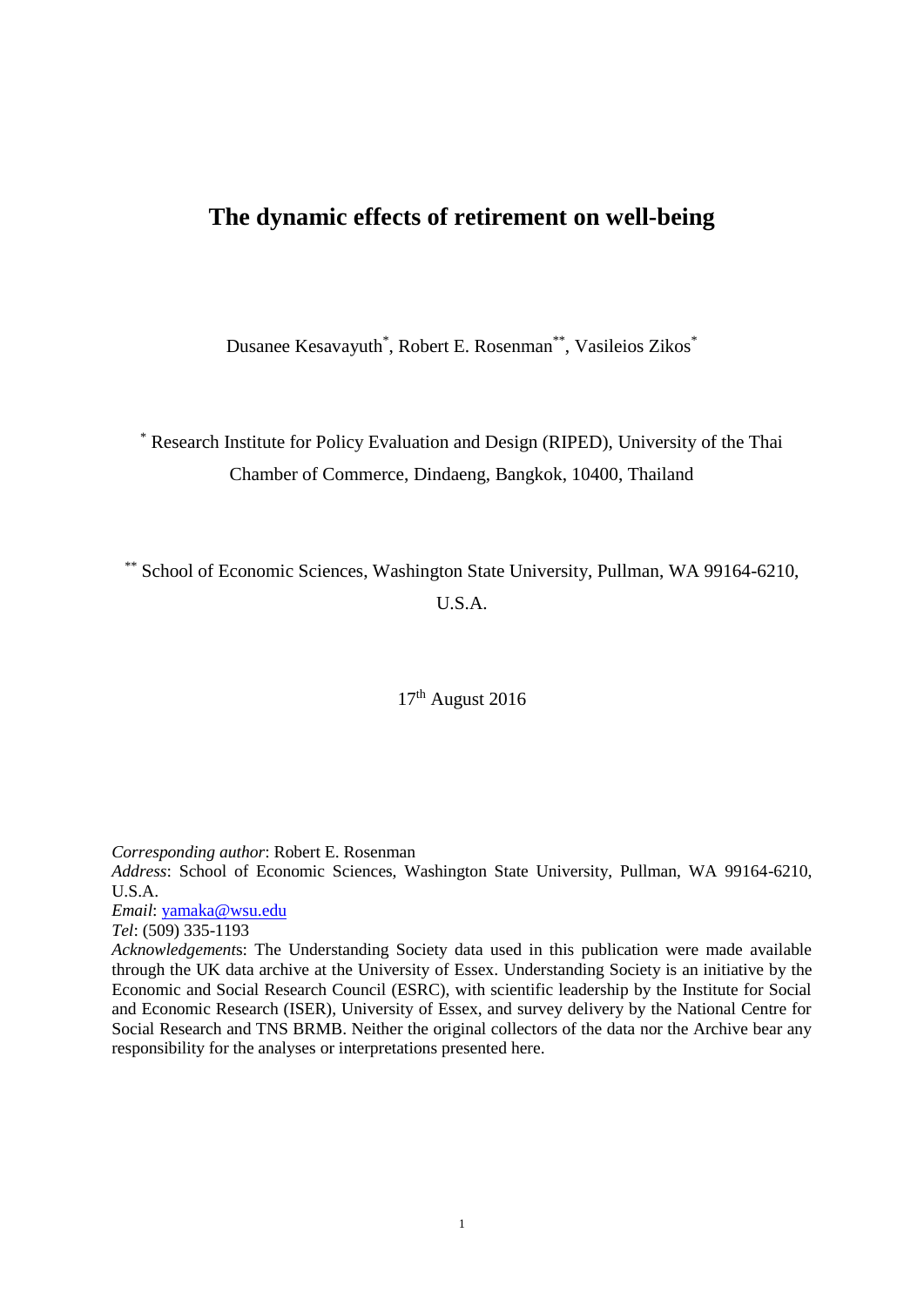# **The dynamic effects of retirement on well-being**

Dusanee Kesavayuth\* , Robert E. Rosenman\*\*, Vasileios Zikos\*

\* Research Institute for Policy Evaluation and Design (RIPED), University of the Thai Chamber of Commerce, Dindaeng, Bangkok, 10400, Thailand

\*\* School of Economic Sciences, Washington State University, Pullman, WA 99164-6210, U.S.A.

17<sup>th</sup> August 2016

*Corresponding author*: Robert E. Rosenman

*Address*: School of Economic Sciences, Washington State University, Pullman, WA 99164-6210, U.S.A.

*Email*: [yamaka@wsu.edu](mailto:yamaka@wsu.edu)

*Tel*: (509) 335-1193

*Acknowledgement*s: The Understanding Society data used in this publication were made available through the UK data archive at the University of Essex. Understanding Society is an initiative by the Economic and Social Research Council (ESRC), with scientific leadership by the Institute for Social and Economic Research (ISER), University of Essex, and survey delivery by the National Centre for Social Research and TNS BRMB. Neither the original collectors of the data nor the Archive bear any responsibility for the analyses or interpretations presented here.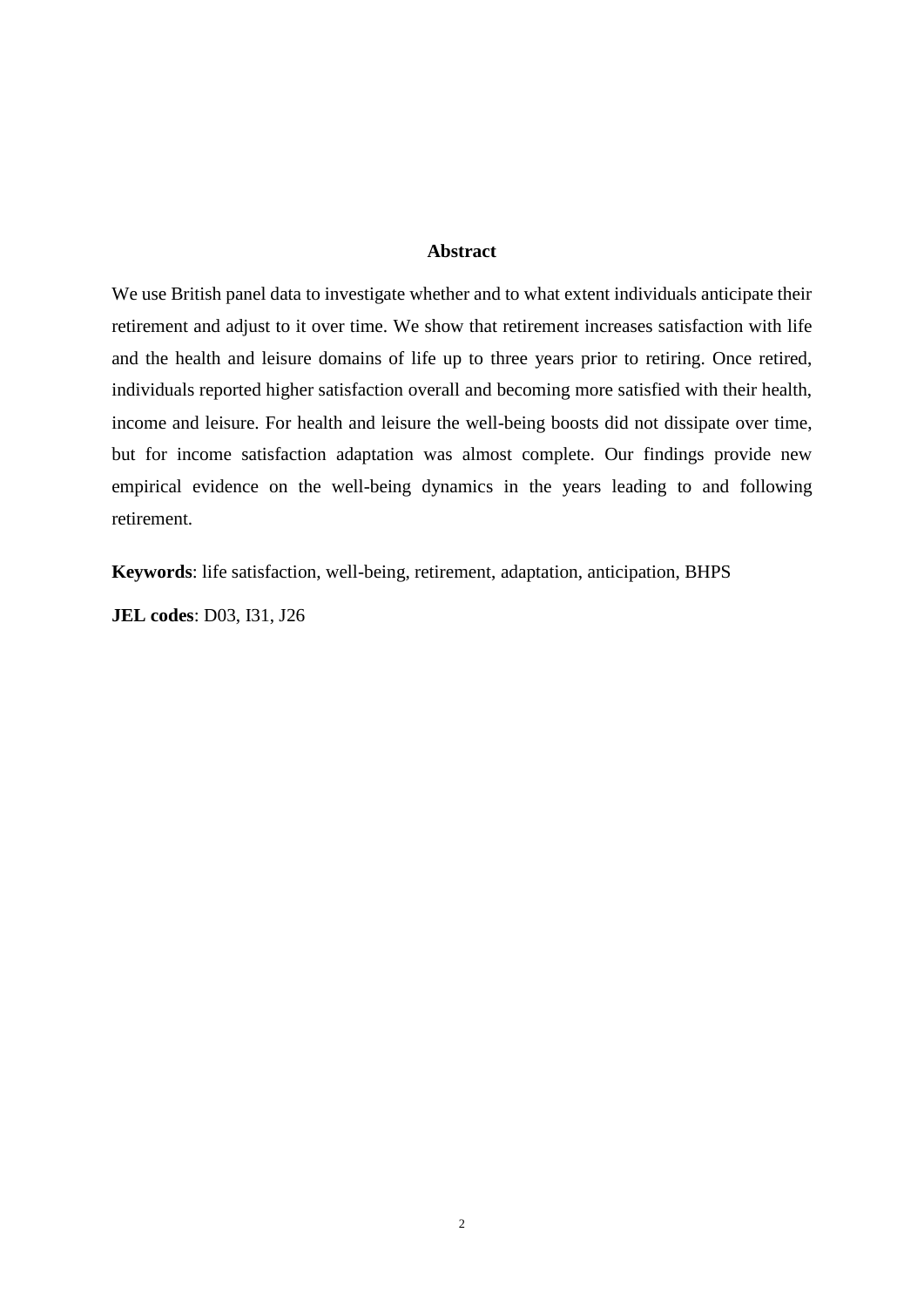### **Abstract**

We use British panel data to investigate whether and to what extent individuals anticipate their retirement and adjust to it over time. We show that retirement increases satisfaction with life and the health and leisure domains of life up to three years prior to retiring. Once retired, individuals reported higher satisfaction overall and becoming more satisfied with their health, income and leisure. For health and leisure the well-being boosts did not dissipate over time, but for income satisfaction adaptation was almost complete. Our findings provide new empirical evidence on the well-being dynamics in the years leading to and following retirement.

**Keywords**: life satisfaction, well-being, retirement, adaptation, anticipation, BHPS

**JEL codes**: D03, I31, J26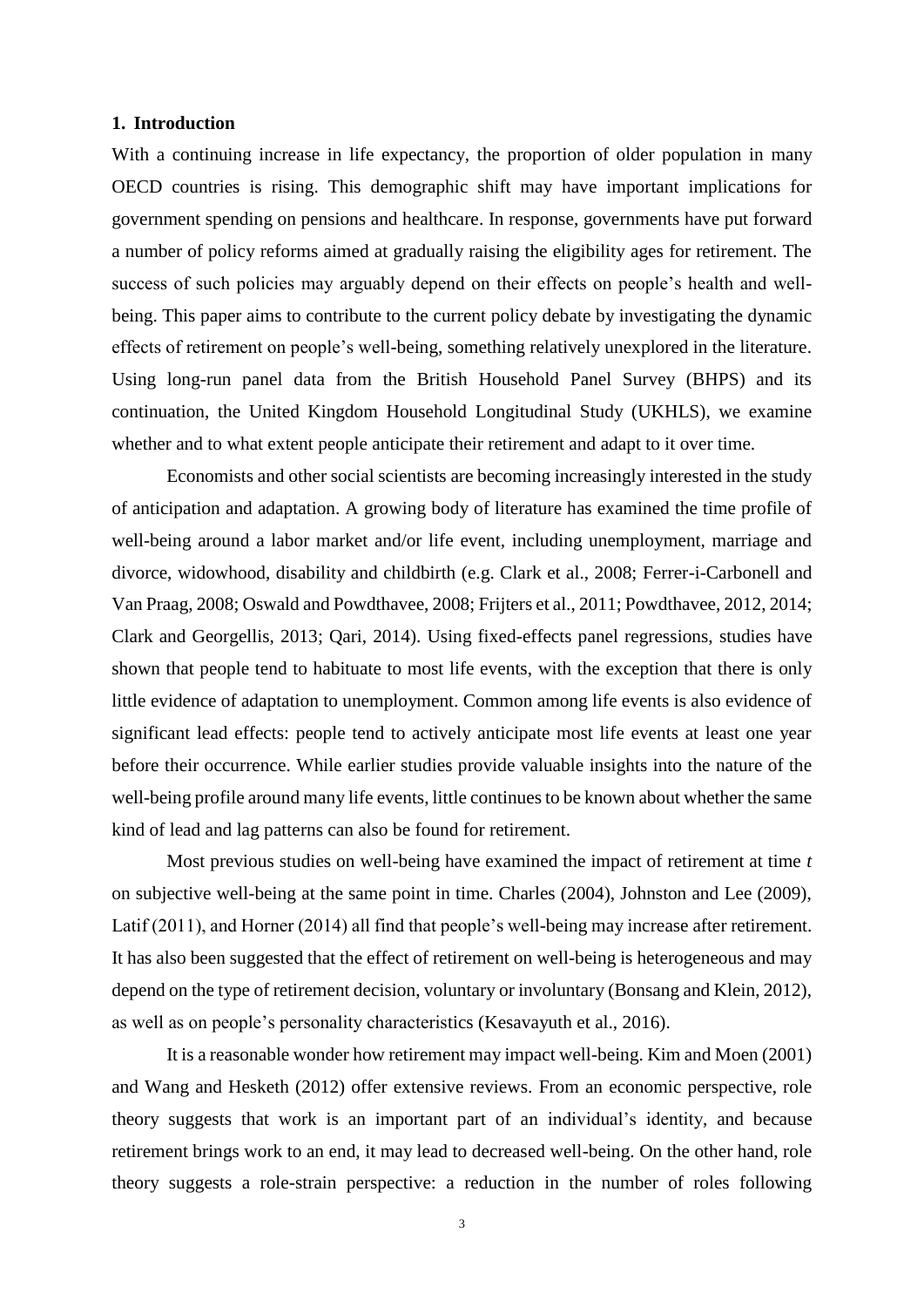#### **1. Introduction**

With a continuing increase in life expectancy, the proportion of older population in many OECD countries is rising. This demographic shift may have important implications for government spending on pensions and healthcare. In response, governments have put forward a number of policy reforms aimed at gradually raising the eligibility ages for retirement. The success of such policies may arguably depend on their effects on people's health and wellbeing. This paper aims to contribute to the current policy debate by investigating the dynamic effects of retirement on people's well-being, something relatively unexplored in the literature. Using long-run panel data from the British Household Panel Survey (BHPS) and its continuation, the United Kingdom Household Longitudinal Study (UKHLS), we examine whether and to what extent people anticipate their retirement and adapt to it over time.

Economists and other social scientists are becoming increasingly interested in the study of anticipation and adaptation. A growing body of literature has examined the time profile of well-being around a labor market and/or life event, including unemployment, marriage and divorce, widowhood, disability and childbirth (e.g. Clark et al., 2008; Ferrer-i-Carbonell and Van Praag, 2008; Oswald and Powdthavee, 2008; Frijters et al., 2011; Powdthavee, 2012, 2014; Clark and Georgellis, 2013; Qari, 2014). Using fixed-effects panel regressions, studies have shown that people tend to habituate to most life events, with the exception that there is only little evidence of adaptation to unemployment. Common among life events is also evidence of significant lead effects: people tend to actively anticipate most life events at least one year before their occurrence. While earlier studies provide valuable insights into the nature of the well-being profile around many life events, little continues to be known about whether the same kind of lead and lag patterns can also be found for retirement.

Most previous studies on well-being have examined the impact of retirement at time *t* on subjective well-being at the same point in time. Charles (2004), Johnston and Lee (2009), Latif (2011), and Horner (2014) all find that people's well-being may increase after retirement. It has also been suggested that the effect of retirement on well-being is heterogeneous and may depend on the type of retirement decision, voluntary or involuntary (Bonsang and Klein, 2012), as well as on people's personality characteristics (Kesavayuth et al., 2016).

It is a reasonable wonder how retirement may impact well-being. Kim and Moen (2001) and Wang and Hesketh (2012) offer extensive reviews. From an economic perspective, role theory suggests that work is an important part of an individual's identity, and because retirement brings work to an end, it may lead to decreased well-being. On the other hand, role theory suggests a role-strain perspective: a reduction in the number of roles following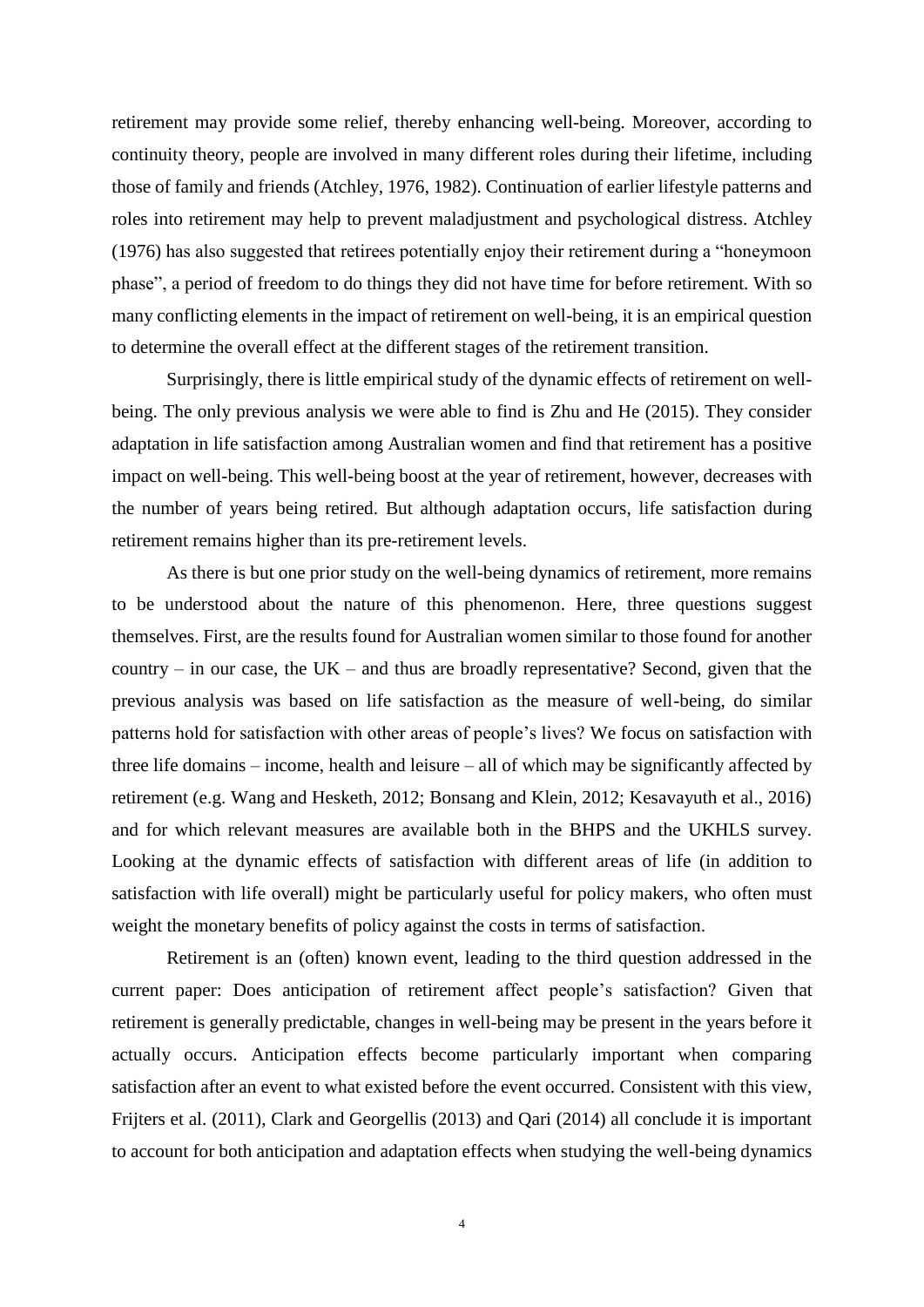retirement may provide some relief, thereby enhancing well-being. Moreover, according to continuity theory, people are involved in many different roles during their lifetime, including those of family and friends (Atchley, 1976, 1982). Continuation of earlier lifestyle patterns and roles into retirement may help to prevent maladjustment and psychological distress. Atchley (1976) has also suggested that retirees potentially enjoy their retirement during a "honeymoon phase", a period of freedom to do things they did not have time for before retirement. With so many conflicting elements in the impact of retirement on well-being, it is an empirical question to determine the overall effect at the different stages of the retirement transition.

Surprisingly, there is little empirical study of the dynamic effects of retirement on wellbeing. The only previous analysis we were able to find is Zhu and He (2015). They consider adaptation in life satisfaction among Australian women and find that retirement has a positive impact on well-being. This well-being boost at the year of retirement, however, decreases with the number of years being retired. But although adaptation occurs, life satisfaction during retirement remains higher than its pre-retirement levels.

As there is but one prior study on the well-being dynamics of retirement, more remains to be understood about the nature of this phenomenon. Here, three questions suggest themselves. First, are the results found for Australian women similar to those found for another country – in our case, the UK – and thus are broadly representative? Second, given that the previous analysis was based on life satisfaction as the measure of well-being, do similar patterns hold for satisfaction with other areas of people's lives? We focus on satisfaction with three life domains – income, health and leisure – all of which may be significantly affected by retirement (e.g. Wang and Hesketh, 2012; Bonsang and Klein, 2012; Kesavayuth et al., 2016) and for which relevant measures are available both in the BHPS and the UKHLS survey. Looking at the dynamic effects of satisfaction with different areas of life (in addition to satisfaction with life overall) might be particularly useful for policy makers, who often must weight the monetary benefits of policy against the costs in terms of satisfaction.

Retirement is an (often) known event, leading to the third question addressed in the current paper: Does anticipation of retirement affect people's satisfaction? Given that retirement is generally predictable, changes in well-being may be present in the years before it actually occurs. Anticipation effects become particularly important when comparing satisfaction after an event to what existed before the event occurred. Consistent with this view, Frijters et al. (2011), Clark and Georgellis (2013) and Qari (2014) all conclude it is important to account for both anticipation and adaptation effects when studying the well-being dynamics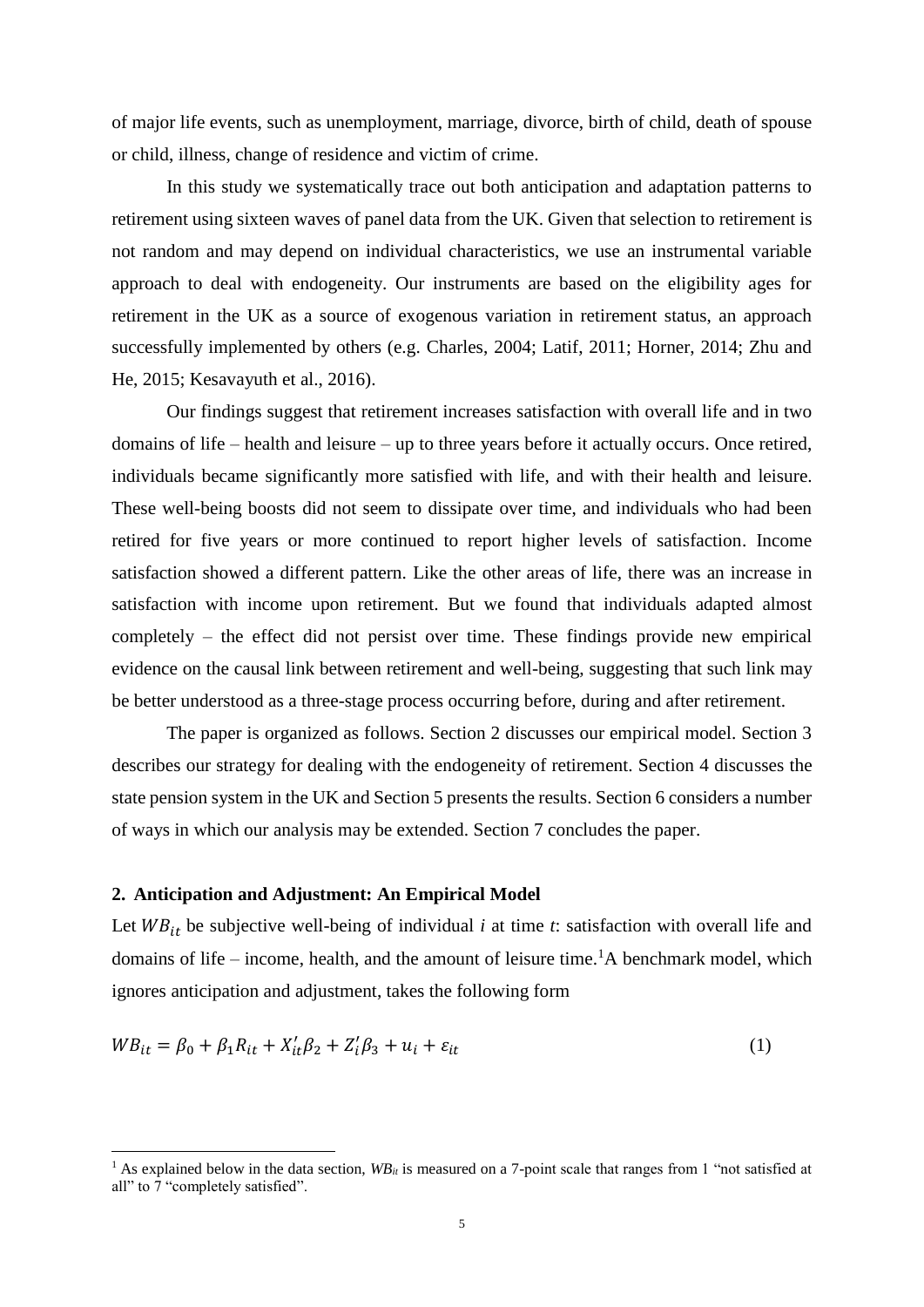of major life events, such as unemployment, marriage, divorce, birth of child, death of spouse or child, illness, change of residence and victim of crime.

In this study we systematically trace out both anticipation and adaptation patterns to retirement using sixteen waves of panel data from the UK. Given that selection to retirement is not random and may depend on individual characteristics, we use an instrumental variable approach to deal with endogeneity. Our instruments are based on the eligibility ages for retirement in the UK as a source of exogenous variation in retirement status, an approach successfully implemented by others (e.g. Charles, 2004; Latif, 2011; Horner, 2014; Zhu and He, 2015; Kesavayuth et al., 2016).

Our findings suggest that retirement increases satisfaction with overall life and in two domains of life – health and leisure – up to three years before it actually occurs. Once retired, individuals became significantly more satisfied with life, and with their health and leisure. These well-being boosts did not seem to dissipate over time, and individuals who had been retired for five years or more continued to report higher levels of satisfaction. Income satisfaction showed a different pattern. Like the other areas of life, there was an increase in satisfaction with income upon retirement. But we found that individuals adapted almost completely – the effect did not persist over time. These findings provide new empirical evidence on the causal link between retirement and well-being, suggesting that such link may be better understood as a three-stage process occurring before, during and after retirement.

The paper is organized as follows. Section 2 discusses our empirical model. Section 3 describes our strategy for dealing with the endogeneity of retirement. Section 4 discusses the state pension system in the UK and Section 5 presents the results. Section 6 considers a number of ways in which our analysis may be extended. Section 7 concludes the paper.

## **2. Anticipation and Adjustment: An Empirical Model**

1

Let  $W B_{it}$  be subjective well-being of individual *i* at time *t*: satisfaction with overall life and domains of life – income, health, and the amount of leisure time.<sup>1</sup>A benchmark model, which ignores anticipation and adjustment, takes the following form

$$
WB_{it} = \beta_0 + \beta_1 R_{it} + X_{it}' \beta_2 + Z_i' \beta_3 + u_i + \varepsilon_{it}
$$
\n<sup>(1)</sup>

<sup>&</sup>lt;sup>1</sup> As explained below in the data section,  $W_{i}$  is measured on a 7-point scale that ranges from 1 "not satisfied at all" to 7 "completely satisfied".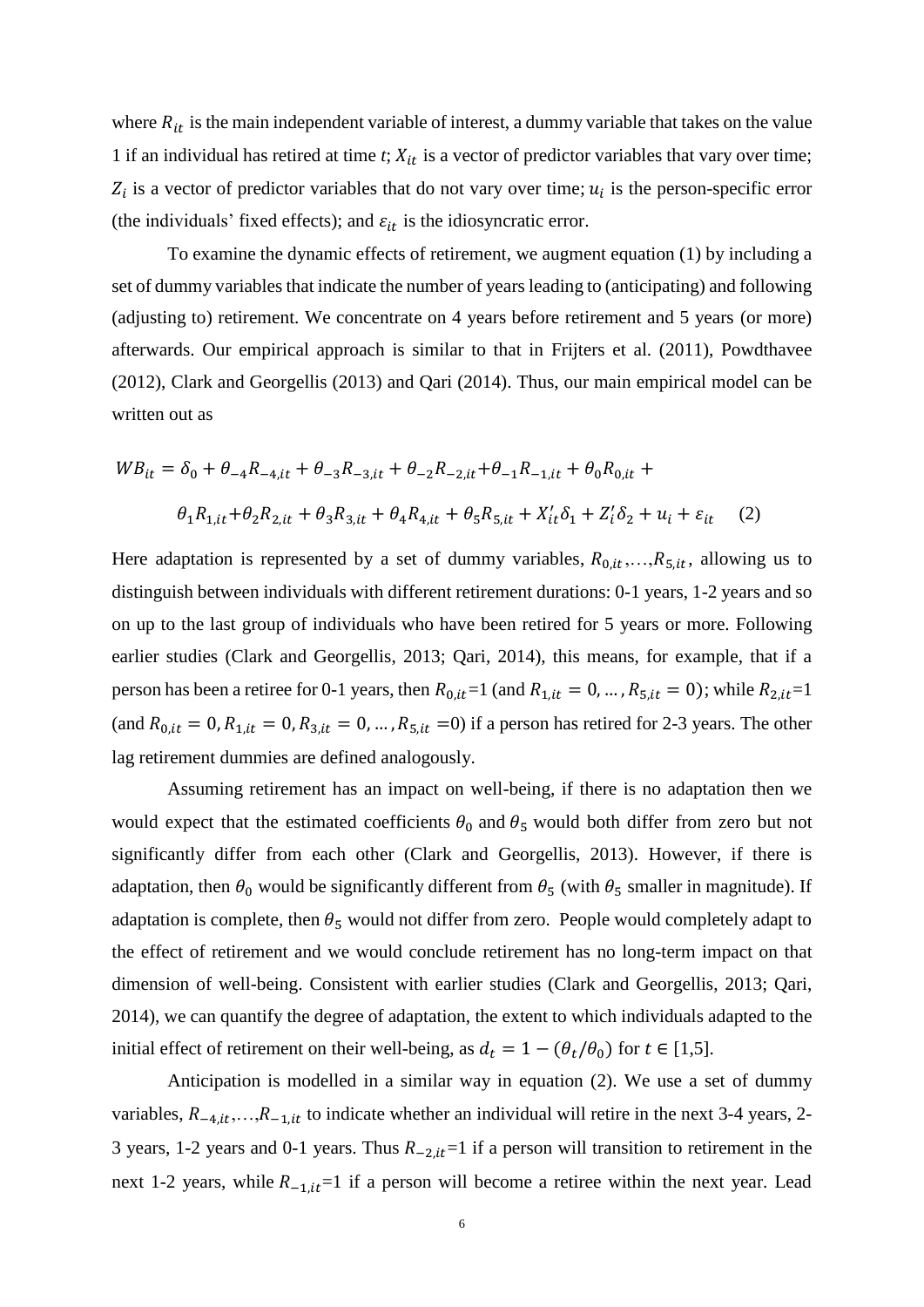where  $R_{it}$  is the main independent variable of interest, a dummy variable that takes on the value 1 if an individual has retired at time  $t$ ;  $X_{it}$  is a vector of predictor variables that vary over time;  $Z_i$  is a vector of predictor variables that do not vary over time;  $u_i$  is the person-specific error (the individuals' fixed effects); and  $\varepsilon_{it}$  is the idiosyncratic error.

To examine the dynamic effects of retirement, we augment equation (1) by including a set of dummy variables that indicate the number of years leading to (anticipating) and following (adjusting to) retirement. We concentrate on 4 years before retirement and 5 years (or more) afterwards. Our empirical approach is similar to that in Frijters et al. (2011), Powdthavee (2012), Clark and Georgellis (2013) and Qari (2014). Thus, our main empirical model can be written out as

$$
WB_{it} = \delta_0 + \theta_{-4}R_{-4,it} + \theta_{-3}R_{-3,it} + \theta_{-2}R_{-2,it} + \theta_{-1}R_{-1,it} + \theta_0R_{0,it} +
$$
  

$$
\theta_1R_{1,it} + \theta_2R_{2,it} + \theta_3R_{3,it} + \theta_4R_{4,it} + \theta_5R_{5,it} + X_{it}'\delta_1 + Z_i'\delta_2 + u_i + \varepsilon_{it} \tag{2}
$$

Here adaptation is represented by a set of dummy variables,  $R_{0,i,t},...,R_{5,i,t}$ , allowing us to distinguish between individuals with different retirement durations: 0-1 years, 1-2 years and so on up to the last group of individuals who have been retired for 5 years or more. Following earlier studies (Clark and Georgellis, 2013; Qari, 2014), this means, for example, that if a person has been a retiree for 0-1 years, then  $R_{0, it} = 1$  (and  $R_{1, it} = 0, \ldots, R_{5, it} = 0$ ); while  $R_{2, it} = 1$ (and  $R_{0, it} = 0$ ,  $R_{1, it} = 0$ ,  $R_{3, it} = 0$ , ...,  $R_{5, it} = 0$ ) if a person has retired for 2-3 years. The other lag retirement dummies are defined analogously.

Assuming retirement has an impact on well-being, if there is no adaptation then we would expect that the estimated coefficients  $\theta_0$  and  $\theta_5$  would both differ from zero but not significantly differ from each other (Clark and Georgellis, 2013). However, if there is adaptation, then  $\theta_0$  would be significantly different from  $\theta_5$  (with  $\theta_5$  smaller in magnitude). If adaptation is complete, then  $\theta_5$  would not differ from zero. People would completely adapt to the effect of retirement and we would conclude retirement has no long-term impact on that dimension of well-being. Consistent with earlier studies (Clark and Georgellis, 2013; Qari, 2014), we can quantify the degree of adaptation, the extent to which individuals adapted to the initial effect of retirement on their well-being, as  $d_t = 1 - (\theta_t/\theta_0)$  for  $t \in [1,5]$ .

Anticipation is modelled in a similar way in equation (2). We use a set of dummy variables,  $R_{-4,i},...,R_{-1,i}$  to indicate whether an individual will retire in the next 3-4 years, 2-3 years, 1-2 years and 0-1 years. Thus  $R_{-2, it}$ =1 if a person will transition to retirement in the next 1-2 years, while  $R_{-1, it}$ =1 if a person will become a retiree within the next year. Lead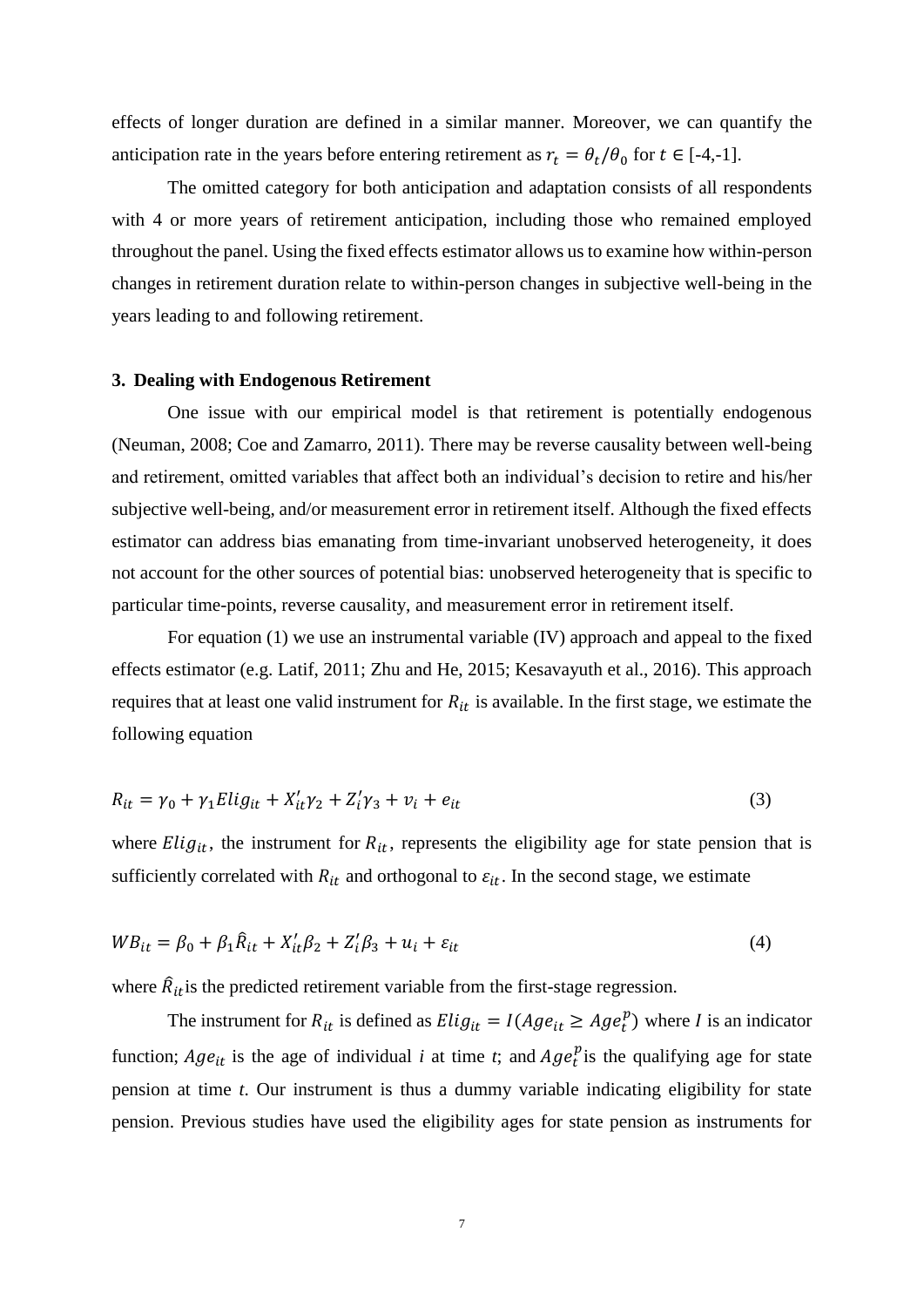effects of longer duration are defined in a similar manner. Moreover, we can quantify the anticipation rate in the years before entering retirement as  $r_t = \theta_t / \theta_0$  for  $t \in [-4, -1]$ .

The omitted category for both anticipation and adaptation consists of all respondents with 4 or more years of retirement anticipation, including those who remained employed throughout the panel. Using the fixed effects estimator allows us to examine how within-person changes in retirement duration relate to within-person changes in subjective well-being in the years leading to and following retirement.

#### **3. Dealing with Endogenous Retirement**

One issue with our empirical model is that retirement is potentially endogenous (Neuman, 2008; Coe and Zamarro, 2011). There may be reverse causality between well-being and retirement, omitted variables that affect both an individual's decision to retire and his/her subjective well-being, and/or measurement error in retirement itself. Although the fixed effects estimator can address bias emanating from time-invariant unobserved heterogeneity, it does not account for the other sources of potential bias: unobserved heterogeneity that is specific to particular time-points, reverse causality, and measurement error in retirement itself.

For equation (1) we use an instrumental variable (IV) approach and appeal to the fixed effects estimator (e.g. Latif, 2011; Zhu and He, 2015; Kesavayuth et al., 2016). This approach requires that at least one valid instrument for  $R_{it}$  is available. In the first stage, we estimate the following equation

$$
R_{it} = \gamma_0 + \gamma_1 E \, \mathrm{li} \, g_{it} + X'_{it} \gamma_2 + Z'_i \gamma_3 + v_i + e_{it} \tag{3}
$$

where  $Elig_{it}$ , the instrument for  $R_{it}$ , represents the eligibility age for state pension that is sufficiently correlated with  $R_{it}$  and orthogonal to  $\varepsilon_{it}$ . In the second stage, we estimate

$$
WB_{it} = \beta_0 + \beta_1 \hat{R}_{it} + X_{it}' \beta_2 + Z_i' \beta_3 + u_i + \varepsilon_{it}
$$
\n
$$
\tag{4}
$$

where  $\hat{R}_{it}$  is the predicted retirement variable from the first-stage regression.

The instrument for  $R_{it}$  is defined as  $Elig_{it} = I(Age_{it} \ge Age_t^p)$  where I is an indicator function;  $Age_{it}$  is the age of individual *i* at time *t*; and  $Age_t^p$  is the qualifying age for state pension at time *t*. Our instrument is thus a dummy variable indicating eligibility for state pension. Previous studies have used the eligibility ages for state pension as instruments for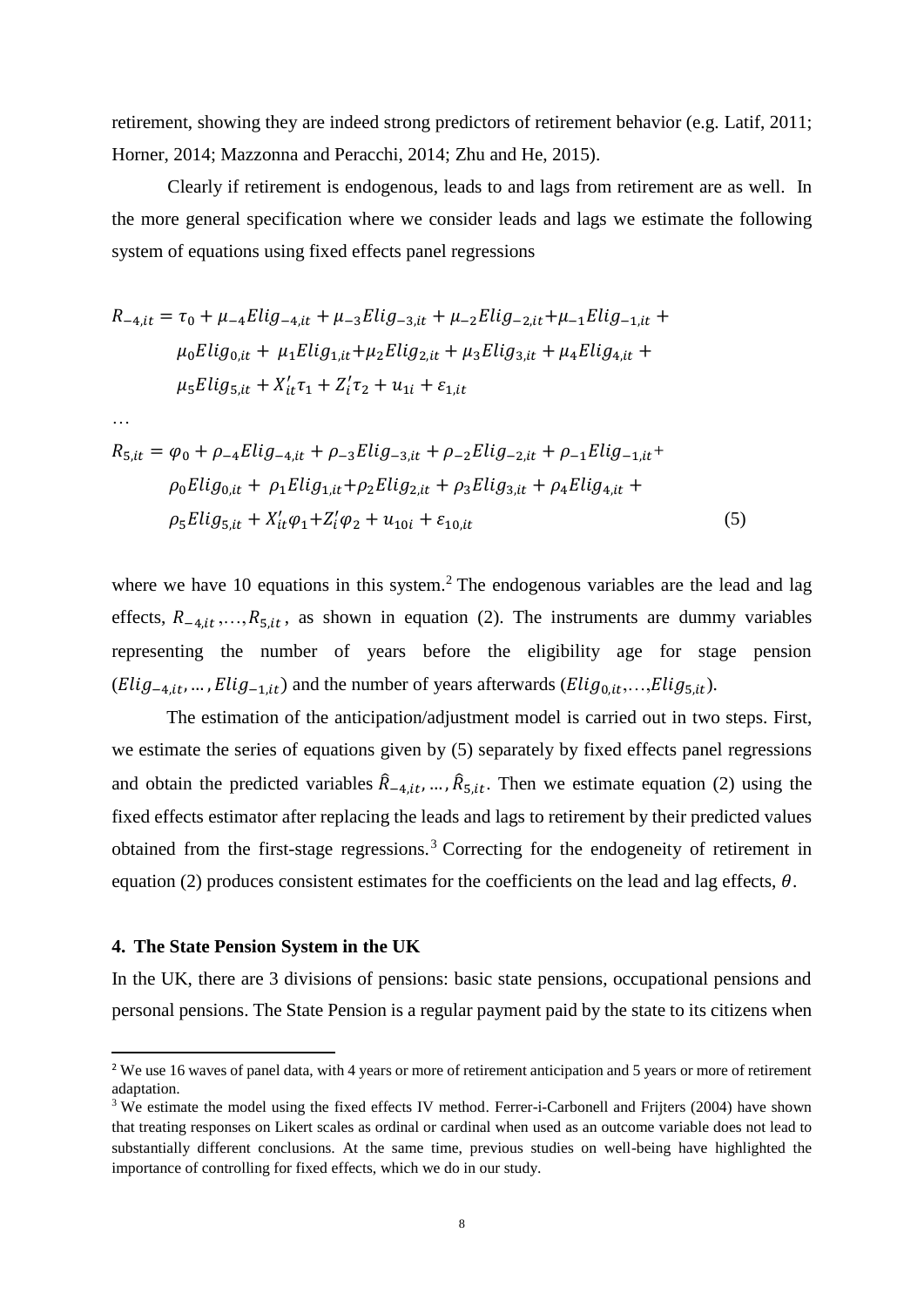retirement, showing they are indeed strong predictors of retirement behavior (e.g. Latif, 2011; Horner, 2014; Mazzonna and Peracchi, 2014; Zhu and He, 2015).

Clearly if retirement is endogenous, leads to and lags from retirement are as well. In the more general specification where we consider leads and lags we estimate the following system of equations using fixed effects panel regressions

$$
R_{-4,it} = \tau_0 + \mu_{-4} E \, lig_{-4,it} + \mu_{-3} E \, lig_{-3,it} + \mu_{-2} E \, lig_{-2,it} + \mu_{-1} E \, lig_{-1,it} + \mu_0 E \, lig_{0,it} + \mu_1 E \, lig_{1,it} + \mu_2 E \, lig_{2,it} + \mu_3 E \, lig_{3,it} + \mu_4 E \, lig_{4,it} + \mu_5 E \, lig_{5,it} + X_{it}' \tau_1 + Z_i' \tau_2 + u_{1i} + \varepsilon_{1,it}
$$

…

**.** 

$$
R_{5,it} = \varphi_0 + \rho_{-4} E \, lig_{-4,it} + \rho_{-3} E \, lig_{-3,it} + \rho_{-2} E \, lig_{-2,it} + \rho_{-1} E \, lig_{-1,it} +
$$
\n
$$
\rho_0 E \, lig_{0,it} + \rho_1 E \, lig_{1,it} + \rho_2 E \, lig_{2,it} + \rho_3 E \, lig_{3,it} + \rho_4 E \, lig_{4,it} +
$$
\n
$$
\rho_5 E \, lig_{5,it} + X_{it}' \varphi_1 + Z_i' \varphi_2 + u_{10i} + \varepsilon_{10,it} \tag{5}
$$

where we have 10 equations in this system.<sup>2</sup> The endogenous variables are the lead and lag effects,  $R_{-4,i}$ , ...,  $R_{5,i}$ , as shown in equation (2). The instruments are dummy variables representing the number of years before the eligibility age for stage pension  $(Elig_{-4,it}, ..., Elig_{-1,it})$  and the number of years afterwards  $(Elig_{0,it}, ..., Elig_{5,it})$ .

The estimation of the anticipation/adjustment model is carried out in two steps. First, we estimate the series of equations given by (5) separately by fixed effects panel regressions and obtain the predicted variables  $\hat{R}_{-4,i,t}, \dots, \hat{R}_{5,i,t}$ . Then we estimate equation (2) using the fixed effects estimator after replacing the leads and lags to retirement by their predicted values obtained from the first-stage regressions.<sup>3</sup> Correcting for the endogeneity of retirement in equation (2) produces consistent estimates for the coefficients on the lead and lag effects,  $\theta$ .

## **4. The State Pension System in the UK**

In the UK, there are 3 divisions of pensions: basic state pensions, occupational pensions and personal pensions. The State Pension is a regular payment paid by the state to its citizens when

<sup>&</sup>lt;sup>2</sup> We use 16 waves of panel data, with 4 years or more of retirement anticipation and 5 years or more of retirement adaptation.

<sup>&</sup>lt;sup>3</sup> We estimate the model using the fixed effects IV method. Ferrer-i-Carbonell and Frijters (2004) have shown that treating responses on Likert scales as ordinal or cardinal when used as an outcome variable does not lead to substantially different conclusions. At the same time, previous studies on well-being have highlighted the importance of controlling for fixed effects, which we do in our study.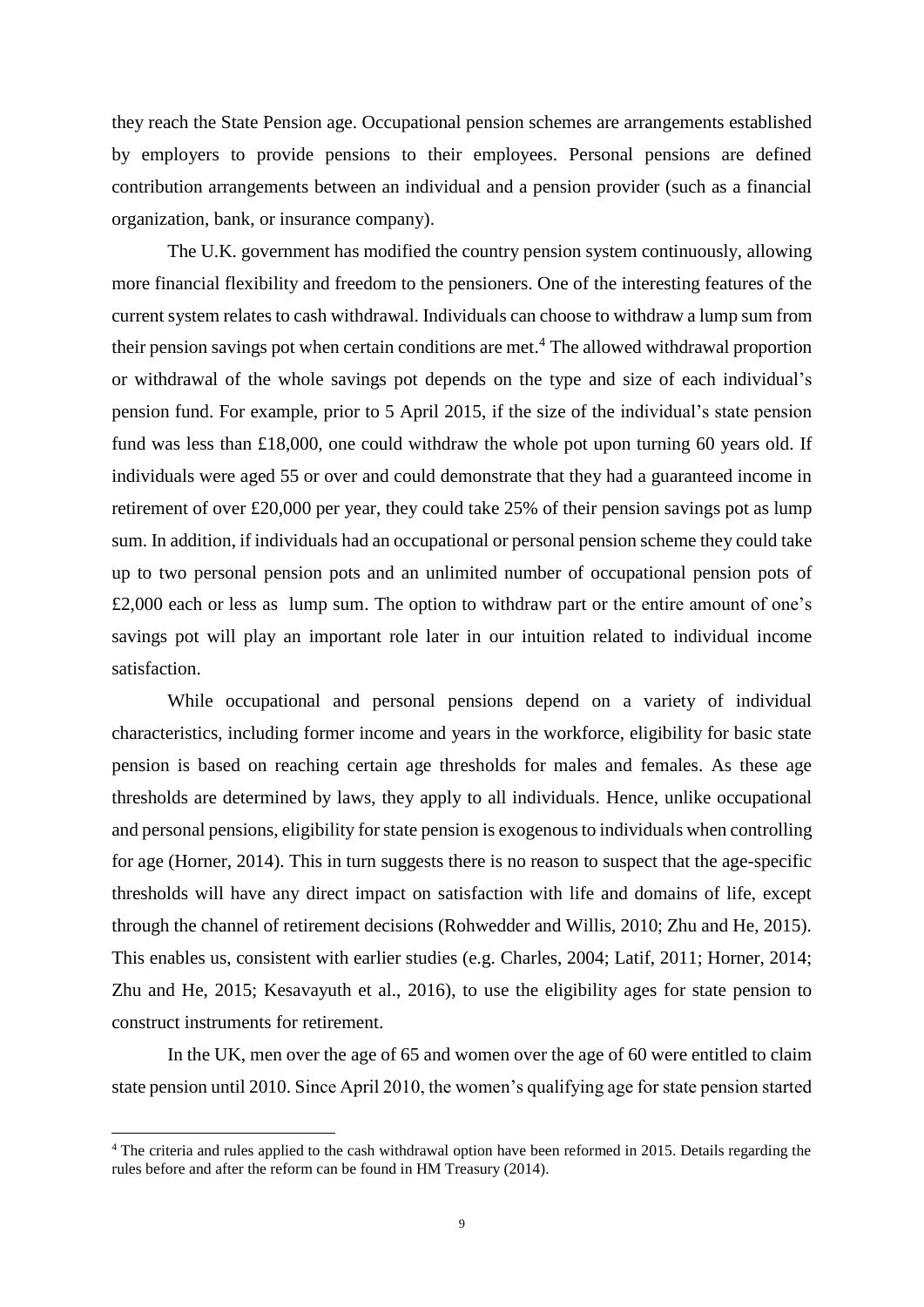they reach the State Pension age. Occupational pension schemes are arrangements established by employers to provide pensions to their employees. Personal pensions are defined contribution arrangements between an individual and a pension provider (such as a financial organization, bank, or insurance company).

The U.K. government has modified the country pension system continuously, allowing more financial flexibility and freedom to the pensioners. One of the interesting features of the current system relates to cash withdrawal. Individuals can choose to withdraw a lump sum from their pension savings pot when certain conditions are met. <sup>4</sup> The allowed withdrawal proportion or withdrawal of the whole savings pot depends on the type and size of each individual's pension fund. For example, prior to 5 April 2015, if the size of the individual's state pension fund was less than £18,000, one could withdraw the whole pot upon turning 60 years old. If individuals were aged 55 or over and could demonstrate that they had a guaranteed income in retirement of over £20,000 per year, they could take 25% of their pension savings pot as lump sum. In addition, if individuals had an occupational or personal pension scheme they could take up to two personal pension pots and an unlimited number of occupational pension pots of £2,000 each or less as lump sum. The option to withdraw part or the entire amount of one's savings pot will play an important role later in our intuition related to individual income satisfaction.

While occupational and personal pensions depend on a variety of individual characteristics, including former income and years in the workforce, eligibility for basic state pension is based on reaching certain age thresholds for males and females. As these age thresholds are determined by laws, they apply to all individuals. Hence, unlike occupational and personal pensions, eligibility for state pension is exogenous to individuals when controlling for age (Horner, 2014). This in turn suggests there is no reason to suspect that the age-specific thresholds will have any direct impact on satisfaction with life and domains of life, except through the channel of retirement decisions (Rohwedder and Willis, 2010; Zhu and He, 2015). This enables us, consistent with earlier studies (e.g. Charles, 2004; Latif, 2011; Horner, 2014; Zhu and He, 2015; Kesavayuth et al., 2016), to use the eligibility ages for state pension to construct instruments for retirement.

In the UK, men over the age of 65 and women over the age of 60 were entitled to claim state pension until 2010. Since April 2010, the women's qualifying age for state pension started

 $\overline{a}$ 

<sup>&</sup>lt;sup>4</sup> The criteria and rules applied to the cash withdrawal option have been reformed in 2015. Details regarding the rules before and after the reform can be found in HM Treasury (2014).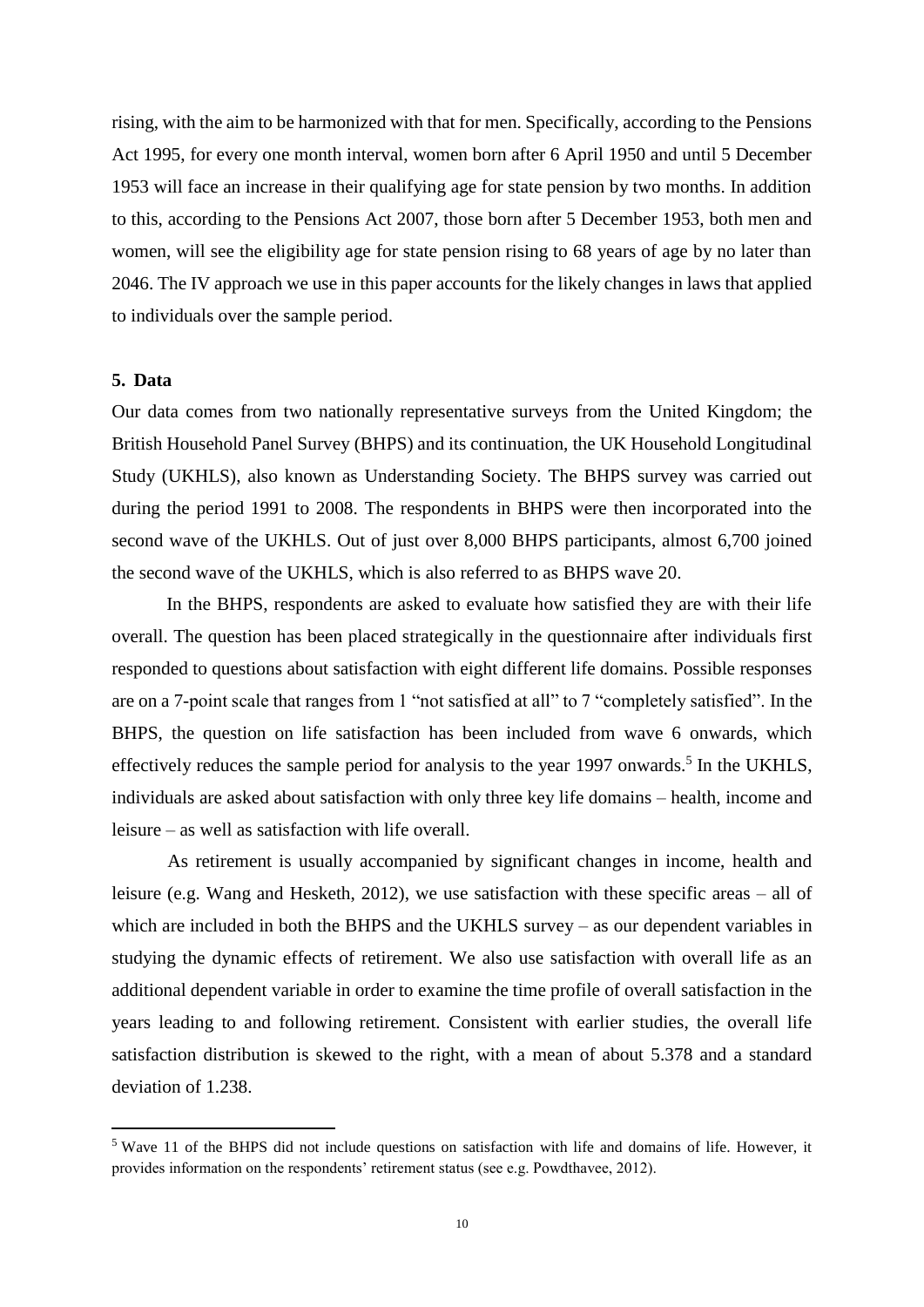rising, with the aim to be harmonized with that for men. Specifically, according to the Pensions Act 1995, for every one month interval, women born after 6 April 1950 and until 5 December 1953 will face an increase in their qualifying age for state pension by two months. In addition to this, according to the Pensions Act 2007, those born after 5 December 1953, both men and women, will see the eligibility age for state pension rising to 68 years of age by no later than 2046. The IV approach we use in this paper accounts for the likely changes in laws that applied to individuals over the sample period.

#### **5. Data**

**.** 

Our data comes from two nationally representative surveys from the United Kingdom; the British Household Panel Survey (BHPS) and its continuation, the UK Household Longitudinal Study (UKHLS), also known as Understanding Society. The BHPS survey was carried out during the period 1991 to 2008. The respondents in BHPS were then incorporated into the second wave of the UKHLS. Out of just over 8,000 BHPS participants, almost 6,700 joined the second wave of the UKHLS, which is also referred to as BHPS wave 20.

In the BHPS, respondents are asked to evaluate how satisfied they are with their life overall. The question has been placed strategically in the questionnaire after individuals first responded to questions about satisfaction with eight different life domains. Possible responses are on a 7-point scale that ranges from 1 "not satisfied at all" to 7 "completely satisfied". In the BHPS, the question on life satisfaction has been included from wave 6 onwards, which effectively reduces the sample period for analysis to the year 1997 onwards.<sup>5</sup> In the UKHLS, individuals are asked about satisfaction with only three key life domains – health, income and leisure – as well as satisfaction with life overall.

As retirement is usually accompanied by significant changes in income, health and leisure (e.g. Wang and Hesketh, 2012), we use satisfaction with these specific areas – all of which are included in both the BHPS and the UKHLS survey – as our dependent variables in studying the dynamic effects of retirement. We also use satisfaction with overall life as an additional dependent variable in order to examine the time profile of overall satisfaction in the years leading to and following retirement. Consistent with earlier studies, the overall life satisfaction distribution is skewed to the right, with a mean of about 5.378 and a standard deviation of 1.238.

 $5$  Wave 11 of the BHPS did not include questions on satisfaction with life and domains of life. However, it provides information on the respondents' retirement status (see e.g. Powdthavee, 2012).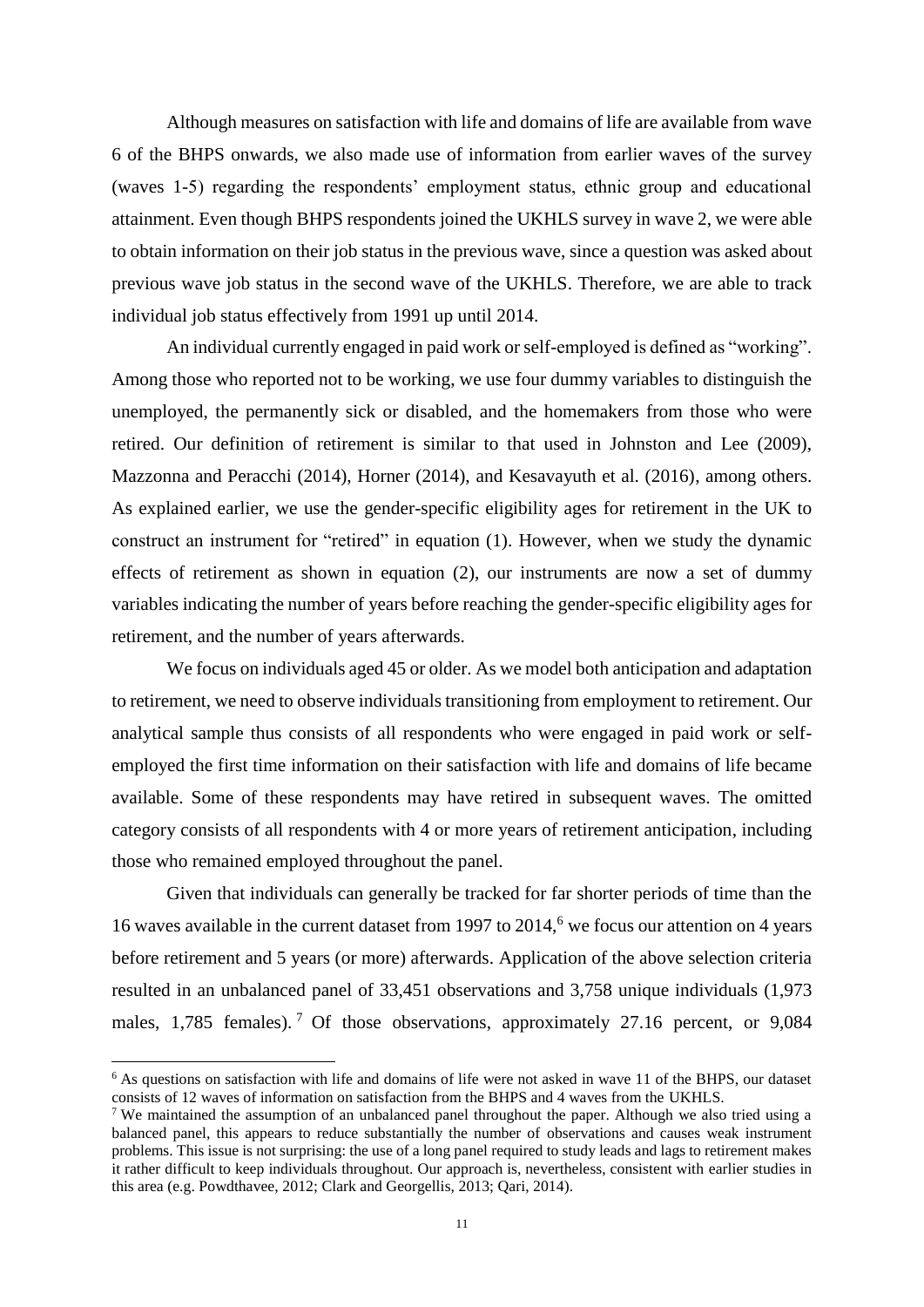Although measures on satisfaction with life and domains of life are available from wave 6 of the BHPS onwards, we also made use of information from earlier waves of the survey (waves 1-5) regarding the respondents' employment status, ethnic group and educational attainment. Even though BHPS respondents joined the UKHLS survey in wave 2, we were able to obtain information on their job status in the previous wave, since a question was asked about previous wave job status in the second wave of the UKHLS. Therefore, we are able to track individual job status effectively from 1991 up until 2014.

An individual currently engaged in paid work or self-employed is defined as "working". Among those who reported not to be working, we use four dummy variables to distinguish the unemployed, the permanently sick or disabled, and the homemakers from those who were retired. Our definition of retirement is similar to that used in Johnston and Lee (2009), Mazzonna and Peracchi (2014), Horner (2014), and Kesavayuth et al. (2016), among others. As explained earlier, we use the gender-specific eligibility ages for retirement in the UK to construct an instrument for "retired" in equation (1). However, when we study the dynamic effects of retirement as shown in equation (2), our instruments are now a set of dummy variables indicating the number of years before reaching the gender-specific eligibility ages for retirement, and the number of years afterwards.

We focus on individuals aged 45 or older. As we model both anticipation and adaptation to retirement, we need to observe individuals transitioning from employment to retirement. Our analytical sample thus consists of all respondents who were engaged in paid work or selfemployed the first time information on their satisfaction with life and domains of life became available. Some of these respondents may have retired in subsequent waves. The omitted category consists of all respondents with 4 or more years of retirement anticipation, including those who remained employed throughout the panel.

Given that individuals can generally be tracked for far shorter periods of time than the 16 waves available in the current dataset from 1997 to 2014, <sup>6</sup> we focus our attention on 4 years before retirement and 5 years (or more) afterwards. Application of the above selection criteria resulted in an unbalanced panel of 33,451 observations and 3,758 unique individuals (1,973 males, 1,785 females).<sup>7</sup> Of those observations, approximately 27.16 percent, or 9,084

**.** 

<sup>&</sup>lt;sup>6</sup> As questions on satisfaction with life and domains of life were not asked in wave 11 of the BHPS, our dataset consists of 12 waves of information on satisfaction from the BHPS and 4 waves from the UKHLS.

<sup>7</sup> We maintained the assumption of an unbalanced panel throughout the paper. Although we also tried using a balanced panel, this appears to reduce substantially the number of observations and causes weak instrument problems. This issue is not surprising: the use of a long panel required to study leads and lags to retirement makes it rather difficult to keep individuals throughout. Our approach is, nevertheless, consistent with earlier studies in this area (e.g. Powdthavee, 2012; Clark and Georgellis, 2013; Qari, 2014).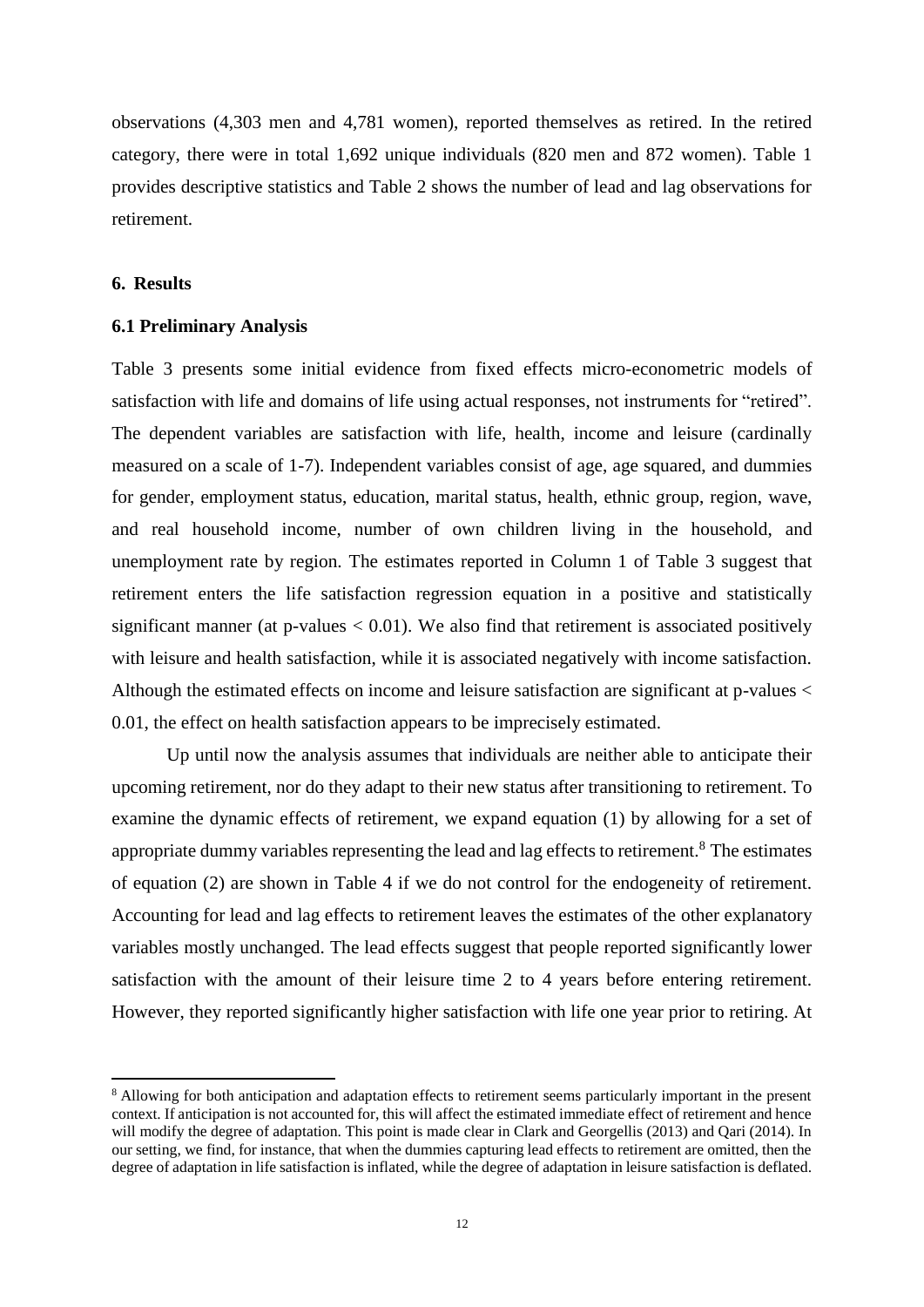observations (4,303 men and 4,781 women), reported themselves as retired. In the retired category, there were in total 1,692 unique individuals (820 men and 872 women). Table 1 provides descriptive statistics and Table 2 shows the number of lead and lag observations for retirement.

#### **6. Results**

**.** 

#### **6.1 Preliminary Analysis**

Table 3 presents some initial evidence from fixed effects micro-econometric models of satisfaction with life and domains of life using actual responses, not instruments for "retired". The dependent variables are satisfaction with life, health, income and leisure (cardinally measured on a scale of 1-7). Independent variables consist of age, age squared, and dummies for gender, employment status, education, marital status, health, ethnic group, region, wave, and real household income, number of own children living in the household, and unemployment rate by region. The estimates reported in Column 1 of Table 3 suggest that retirement enters the life satisfaction regression equation in a positive and statistically significant manner (at  $p$ -values  $< 0.01$ ). We also find that retirement is associated positively with leisure and health satisfaction, while it is associated negatively with income satisfaction. Although the estimated effects on income and leisure satisfaction are significant at p-values < 0.01, the effect on health satisfaction appears to be imprecisely estimated.

Up until now the analysis assumes that individuals are neither able to anticipate their upcoming retirement, nor do they adapt to their new status after transitioning to retirement. To examine the dynamic effects of retirement, we expand equation (1) by allowing for a set of appropriate dummy variables representing the lead and lag effects to retirement.<sup>8</sup> The estimates of equation (2) are shown in Table 4 if we do not control for the endogeneity of retirement. Accounting for lead and lag effects to retirement leaves the estimates of the other explanatory variables mostly unchanged. The lead effects suggest that people reported significantly lower satisfaction with the amount of their leisure time 2 to 4 years before entering retirement. However, they reported significantly higher satisfaction with life one year prior to retiring. At

<sup>&</sup>lt;sup>8</sup> Allowing for both anticipation and adaptation effects to retirement seems particularly important in the present context. If anticipation is not accounted for, this will affect the estimated immediate effect of retirement and hence will modify the degree of adaptation. This point is made clear in Clark and Georgellis (2013) and Oari (2014). In our setting, we find, for instance, that when the dummies capturing lead effects to retirement are omitted, then the degree of adaptation in life satisfaction is inflated, while the degree of adaptation in leisure satisfaction is deflated.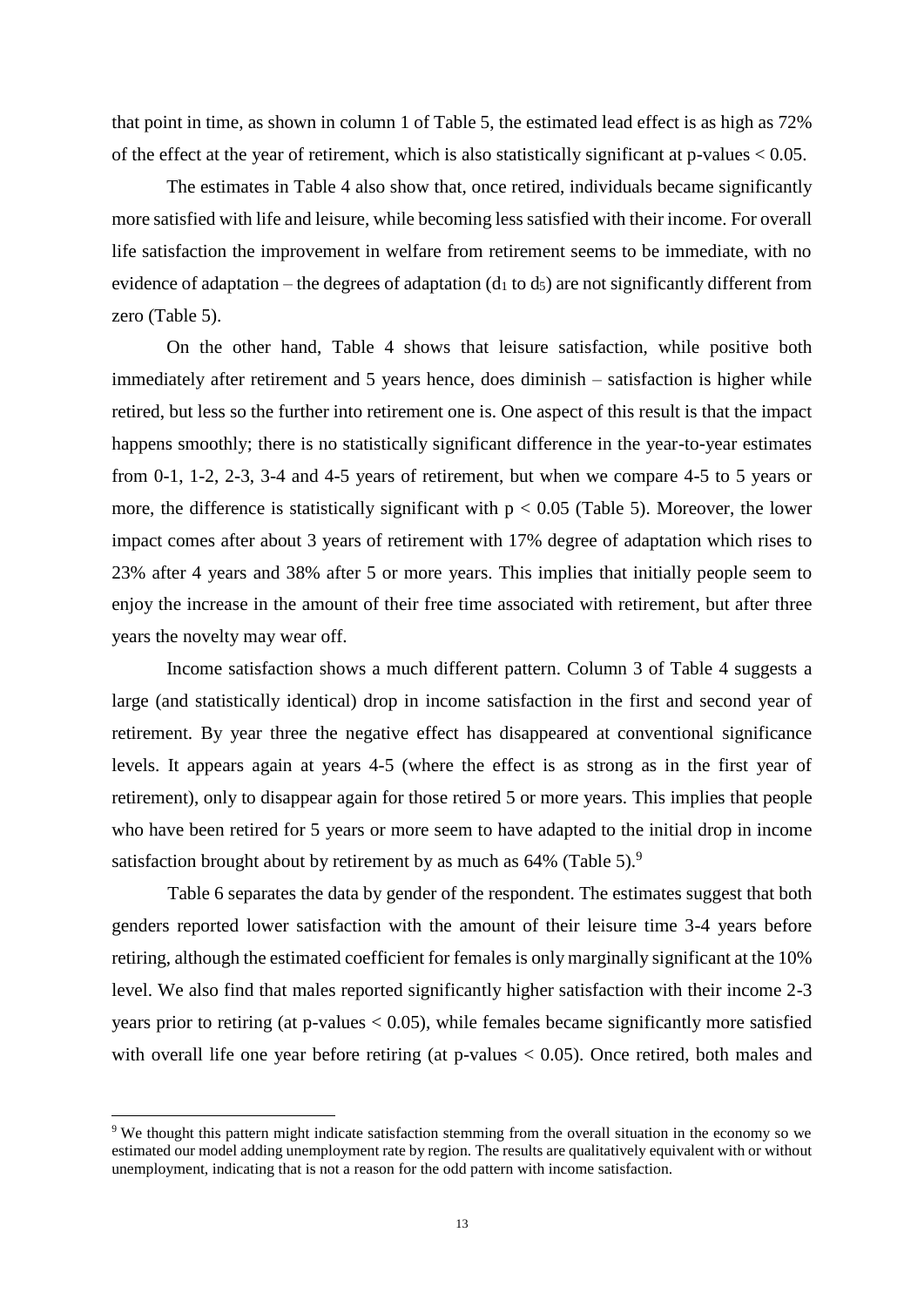that point in time, as shown in column 1 of Table 5, the estimated lead effect is as high as 72% of the effect at the year of retirement, which is also statistically significant at  $p$ -values  $< 0.05$ .

The estimates in Table 4 also show that, once retired, individuals became significantly more satisfied with life and leisure, while becoming less satisfied with their income. For overall life satisfaction the improvement in welfare from retirement seems to be immediate, with no evidence of adaptation – the degrees of adaptation ( $d_1$  to  $d_5$ ) are not significantly different from zero (Table 5).

On the other hand, Table 4 shows that leisure satisfaction, while positive both immediately after retirement and 5 years hence, does diminish – satisfaction is higher while retired, but less so the further into retirement one is. One aspect of this result is that the impact happens smoothly; there is no statistically significant difference in the year-to-year estimates from 0-1, 1-2, 2-3, 3-4 and 4-5 years of retirement, but when we compare 4-5 to 5 years or more, the difference is statistically significant with  $p < 0.05$  (Table 5). Moreover, the lower impact comes after about 3 years of retirement with 17% degree of adaptation which rises to 23% after 4 years and 38% after 5 or more years. This implies that initially people seem to enjoy the increase in the amount of their free time associated with retirement, but after three years the novelty may wear off.

Income satisfaction shows a much different pattern. Column 3 of Table 4 suggests a large (and statistically identical) drop in income satisfaction in the first and second year of retirement. By year three the negative effect has disappeared at conventional significance levels. It appears again at years 4-5 (where the effect is as strong as in the first year of retirement), only to disappear again for those retired 5 or more years. This implies that people who have been retired for 5 years or more seem to have adapted to the initial drop in income satisfaction brought about by retirement by as much as 64% (Table 5).<sup>9</sup>

Table 6 separates the data by gender of the respondent. The estimates suggest that both genders reported lower satisfaction with the amount of their leisure time 3-4 years before retiring, although the estimated coefficient for females is only marginally significant at the 10% level. We also find that males reported significantly higher satisfaction with their income 2-3 years prior to retiring (at p-values  $< 0.05$ ), while females became significantly more satisfied with overall life one year before retiring (at p-values  $< 0.05$ ). Once retired, both males and

**.** 

<sup>9</sup> We thought this pattern might indicate satisfaction stemming from the overall situation in the economy so we estimated our model adding unemployment rate by region. The results are qualitatively equivalent with or without unemployment, indicating that is not a reason for the odd pattern with income satisfaction.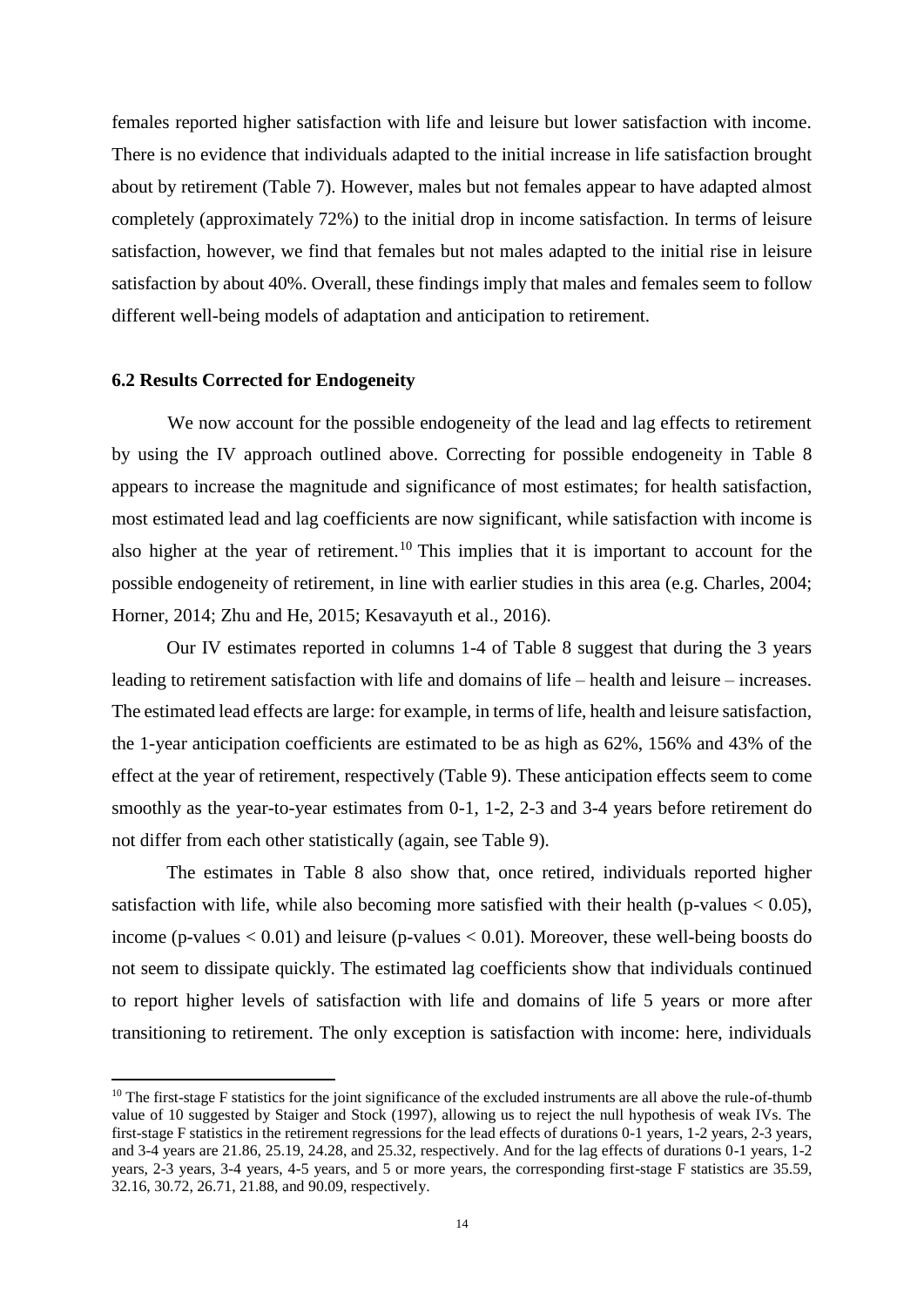females reported higher satisfaction with life and leisure but lower satisfaction with income. There is no evidence that individuals adapted to the initial increase in life satisfaction brought about by retirement (Table 7). However, males but not females appear to have adapted almost completely (approximately 72%) to the initial drop in income satisfaction. In terms of leisure satisfaction, however, we find that females but not males adapted to the initial rise in leisure satisfaction by about 40%. Overall, these findings imply that males and females seem to follow different well-being models of adaptation and anticipation to retirement.

#### **6.2 Results Corrected for Endogeneity**

1

We now account for the possible endogeneity of the lead and lag effects to retirement by using the IV approach outlined above. Correcting for possible endogeneity in Table 8 appears to increase the magnitude and significance of most estimates; for health satisfaction, most estimated lead and lag coefficients are now significant, while satisfaction with income is also higher at the year of retirement.<sup>10</sup> This implies that it is important to account for the possible endogeneity of retirement, in line with earlier studies in this area (e.g. Charles, 2004; Horner, 2014; Zhu and He, 2015; Kesavayuth et al., 2016).

Our IV estimates reported in columns 1-4 of Table 8 suggest that during the 3 years leading to retirement satisfaction with life and domains of life – health and leisure – increases. The estimated lead effects are large: for example, in terms of life, health and leisure satisfaction, the 1-year anticipation coefficients are estimated to be as high as 62%, 156% and 43% of the effect at the year of retirement, respectively (Table 9). These anticipation effects seem to come smoothly as the year-to-year estimates from 0-1, 1-2, 2-3 and 3-4 years before retirement do not differ from each other statistically (again, see Table 9).

The estimates in Table 8 also show that, once retired, individuals reported higher satisfaction with life, while also becoming more satisfied with their health (p-values  $< 0.05$ ), income (p-values  $< 0.01$ ) and leisure (p-values  $< 0.01$ ). Moreover, these well-being boosts do not seem to dissipate quickly. The estimated lag coefficients show that individuals continued to report higher levels of satisfaction with life and domains of life 5 years or more after transitioning to retirement. The only exception is satisfaction with income: here, individuals

<sup>&</sup>lt;sup>10</sup> The first-stage F statistics for the joint significance of the excluded instruments are all above the rule-of-thumb value of 10 suggested by Staiger and Stock (1997), allowing us to reject the null hypothesis of weak IVs. The first-stage F statistics in the retirement regressions for the lead effects of durations 0-1 years, 1-2 years, 2-3 years, and 3-4 years are 21.86, 25.19, 24.28, and 25.32, respectively. And for the lag effects of durations 0-1 years, 1-2 years, 2-3 years, 3-4 years, 4-5 years, and 5 or more years, the corresponding first-stage F statistics are 35.59, 32.16, 30.72, 26.71, 21.88, and 90.09, respectively.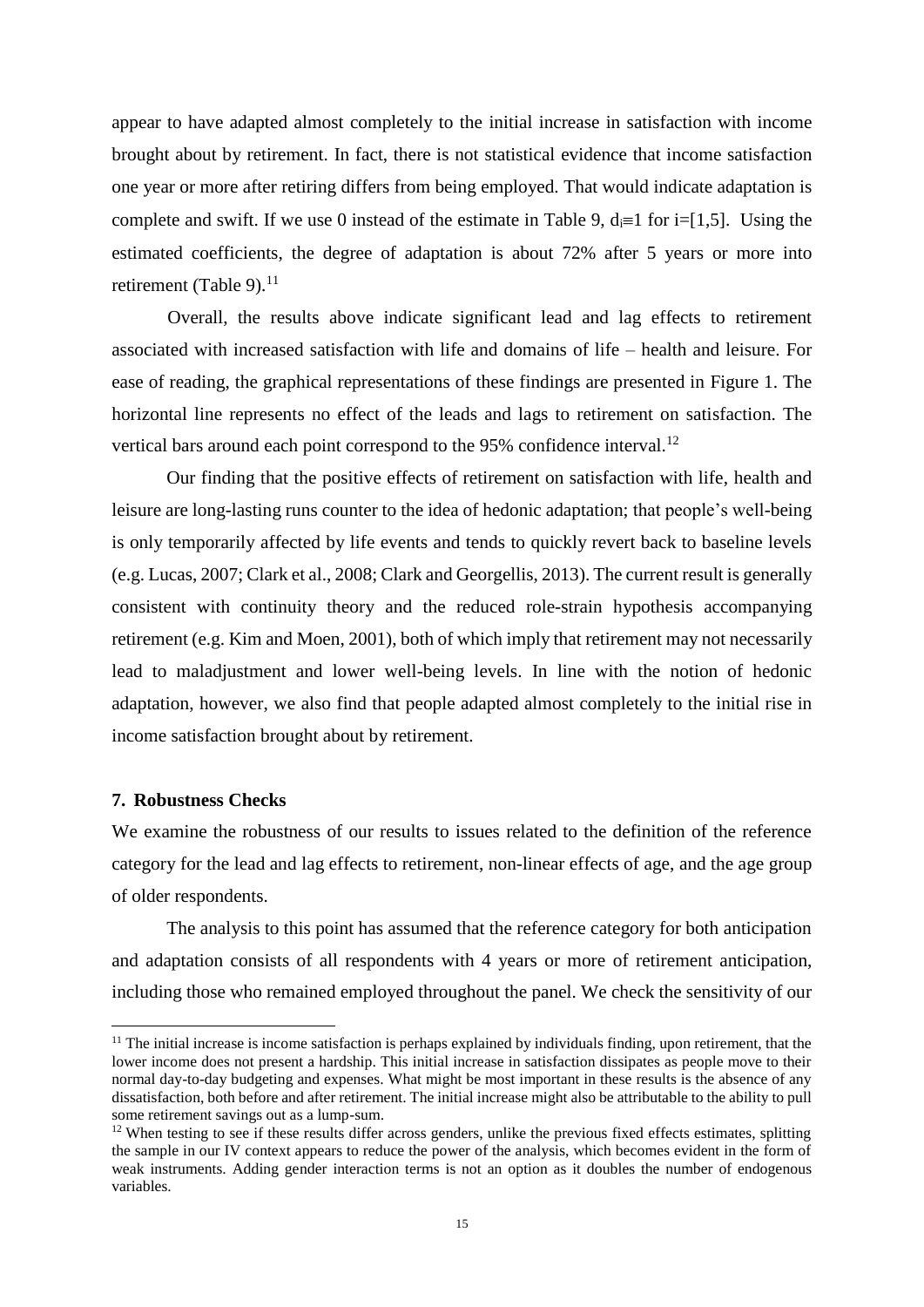appear to have adapted almost completely to the initial increase in satisfaction with income brought about by retirement. In fact, there is not statistical evidence that income satisfaction one year or more after retiring differs from being employed. That would indicate adaptation is complete and swift. If we use 0 instead of the estimate in Table 9,  $d_i=1$  for  $i=[1,5]$ . Using the estimated coefficients, the degree of adaptation is about 72% after 5 years or more into retirement (Table 9).<sup>11</sup>

Overall, the results above indicate significant lead and lag effects to retirement associated with increased satisfaction with life and domains of life – health and leisure. For ease of reading, the graphical representations of these findings are presented in Figure 1. The horizontal line represents no effect of the leads and lags to retirement on satisfaction. The vertical bars around each point correspond to the 95% confidence interval.<sup>12</sup>

Our finding that the positive effects of retirement on satisfaction with life, health and leisure are long-lasting runs counter to the idea of hedonic adaptation; that people's well-being is only temporarily affected by life events and tends to quickly revert back to baseline levels (e.g. Lucas, 2007; Clark et al., 2008; Clark and Georgellis, 2013). The current result is generally consistent with continuity theory and the reduced role-strain hypothesis accompanying retirement (e.g. Kim and Moen, 2001), both of which imply that retirement may not necessarily lead to maladjustment and lower well-being levels. In line with the notion of hedonic adaptation, however, we also find that people adapted almost completely to the initial rise in income satisfaction brought about by retirement.

#### **7. Robustness Checks**

 $\overline{a}$ 

We examine the robustness of our results to issues related to the definition of the reference category for the lead and lag effects to retirement, non-linear effects of age, and the age group of older respondents.

The analysis to this point has assumed that the reference category for both anticipation and adaptation consists of all respondents with 4 years or more of retirement anticipation, including those who remained employed throughout the panel. We check the sensitivity of our

 $11$  The initial increase is income satisfaction is perhaps explained by individuals finding, upon retirement, that the lower income does not present a hardship. This initial increase in satisfaction dissipates as people move to their normal day-to-day budgeting and expenses. What might be most important in these results is the absence of any dissatisfaction, both before and after retirement. The initial increase might also be attributable to the ability to pull some retirement savings out as a lump-sum.

 $12$  When testing to see if these results differ across genders, unlike the previous fixed effects estimates, splitting the sample in our IV context appears to reduce the power of the analysis, which becomes evident in the form of weak instruments. Adding gender interaction terms is not an option as it doubles the number of endogenous variables.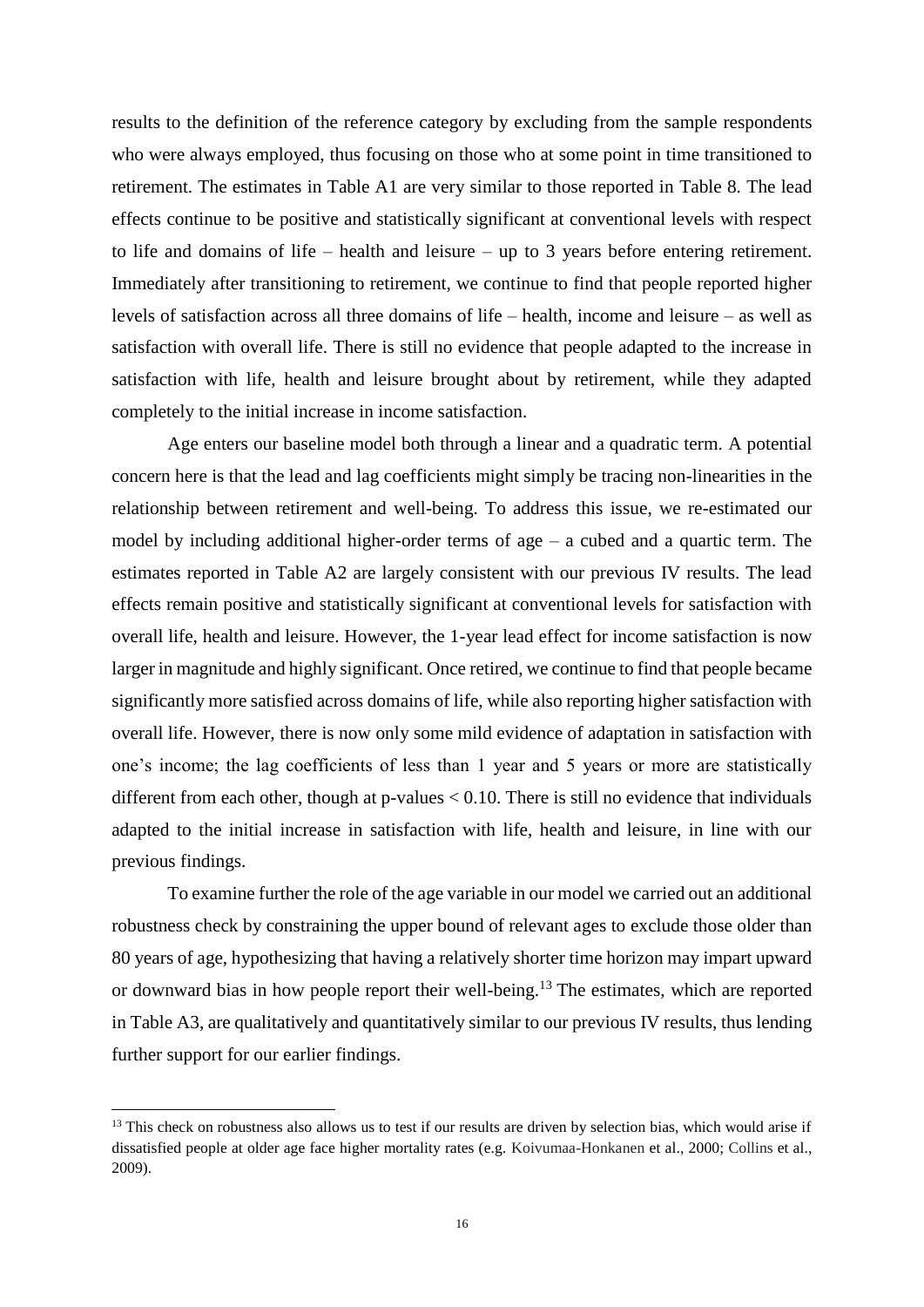results to the definition of the reference category by excluding from the sample respondents who were always employed, thus focusing on those who at some point in time transitioned to retirement. The estimates in Table A1 are very similar to those reported in Table 8. The lead effects continue to be positive and statistically significant at conventional levels with respect to life and domains of life – health and leisure – up to 3 years before entering retirement. Immediately after transitioning to retirement, we continue to find that people reported higher levels of satisfaction across all three domains of life – health, income and leisure – as well as satisfaction with overall life. There is still no evidence that people adapted to the increase in satisfaction with life, health and leisure brought about by retirement, while they adapted completely to the initial increase in income satisfaction.

Age enters our baseline model both through a linear and a quadratic term. A potential concern here is that the lead and lag coefficients might simply be tracing non-linearities in the relationship between retirement and well-being. To address this issue, we re-estimated our model by including additional higher-order terms of age – a cubed and a quartic term. The estimates reported in Table A2 are largely consistent with our previous IV results. The lead effects remain positive and statistically significant at conventional levels for satisfaction with overall life, health and leisure. However, the 1-year lead effect for income satisfaction is now larger in magnitude and highly significant. Once retired, we continue to find that people became significantly more satisfied across domains of life, while also reporting higher satisfaction with overall life. However, there is now only some mild evidence of adaptation in satisfaction with one's income; the lag coefficients of less than 1 year and 5 years or more are statistically different from each other, though at  $p$ -values  $< 0.10$ . There is still no evidence that individuals adapted to the initial increase in satisfaction with life, health and leisure, in line with our previous findings.

To examine further the role of the age variable in our model we carried out an additional robustness check by constraining the upper bound of relevant ages to exclude those older than 80 years of age, hypothesizing that having a relatively shorter time horizon may impart upward or downward bias in how people report their well-being.<sup>13</sup> The estimates, which are reported in Table A3, are qualitatively and quantitatively similar to our previous IV results, thus lending further support for our earlier findings.

**.** 

<sup>&</sup>lt;sup>13</sup> This check on robustness also allows us to test if our results are driven by selection bias, which would arise if dissatisfied people at older age face higher mortality rates (e.g. Koivumaa-Honkanen et al., 2000; Collins et al., 2009).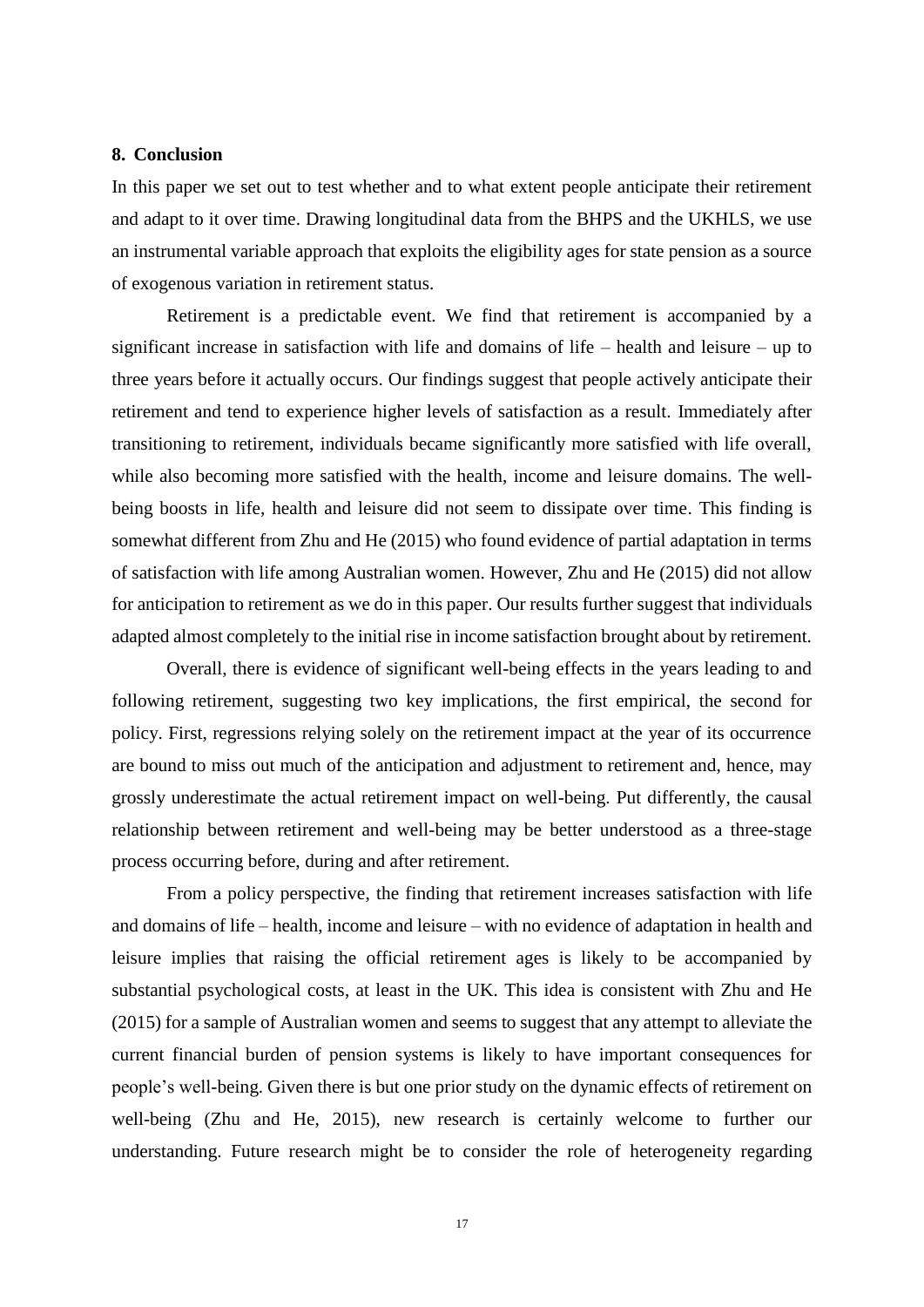#### **8. Conclusion**

In this paper we set out to test whether and to what extent people anticipate their retirement and adapt to it over time. Drawing longitudinal data from the BHPS and the UKHLS, we use an instrumental variable approach that exploits the eligibility ages for state pension as a source of exogenous variation in retirement status.

Retirement is a predictable event. We find that retirement is accompanied by a significant increase in satisfaction with life and domains of life – health and leisure – up to three years before it actually occurs. Our findings suggest that people actively anticipate their retirement and tend to experience higher levels of satisfaction as a result. Immediately after transitioning to retirement, individuals became significantly more satisfied with life overall, while also becoming more satisfied with the health, income and leisure domains. The wellbeing boosts in life, health and leisure did not seem to dissipate over time. This finding is somewhat different from Zhu and He (2015) who found evidence of partial adaptation in terms of satisfaction with life among Australian women. However, Zhu and He (2015) did not allow for anticipation to retirement as we do in this paper. Our results further suggest that individuals adapted almost completely to the initial rise in income satisfaction brought about by retirement.

Overall, there is evidence of significant well-being effects in the years leading to and following retirement, suggesting two key implications, the first empirical, the second for policy. First, regressions relying solely on the retirement impact at the year of its occurrence are bound to miss out much of the anticipation and adjustment to retirement and, hence, may grossly underestimate the actual retirement impact on well-being. Put differently, the causal relationship between retirement and well-being may be better understood as a three-stage process occurring before, during and after retirement.

From a policy perspective, the finding that retirement increases satisfaction with life and domains of life – health, income and leisure – with no evidence of adaptation in health and leisure implies that raising the official retirement ages is likely to be accompanied by substantial psychological costs, at least in the UK. This idea is consistent with Zhu and He (2015) for a sample of Australian women and seems to suggest that any attempt to alleviate the current financial burden of pension systems is likely to have important consequences for people's well-being. Given there is but one prior study on the dynamic effects of retirement on well-being (Zhu and He, 2015), new research is certainly welcome to further our understanding. Future research might be to consider the role of heterogeneity regarding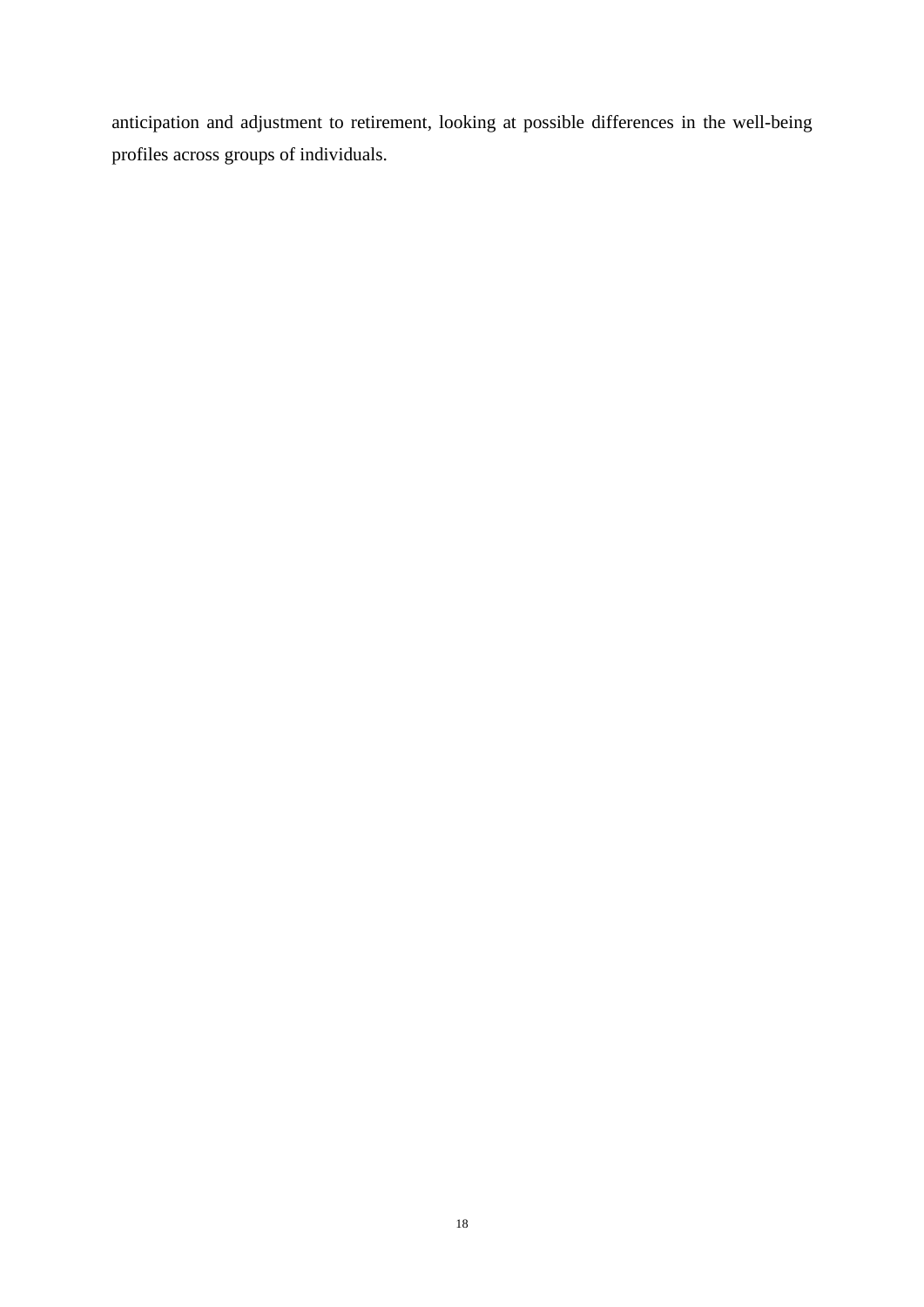anticipation and adjustment to retirement, looking at possible differences in the well-being profiles across groups of individuals.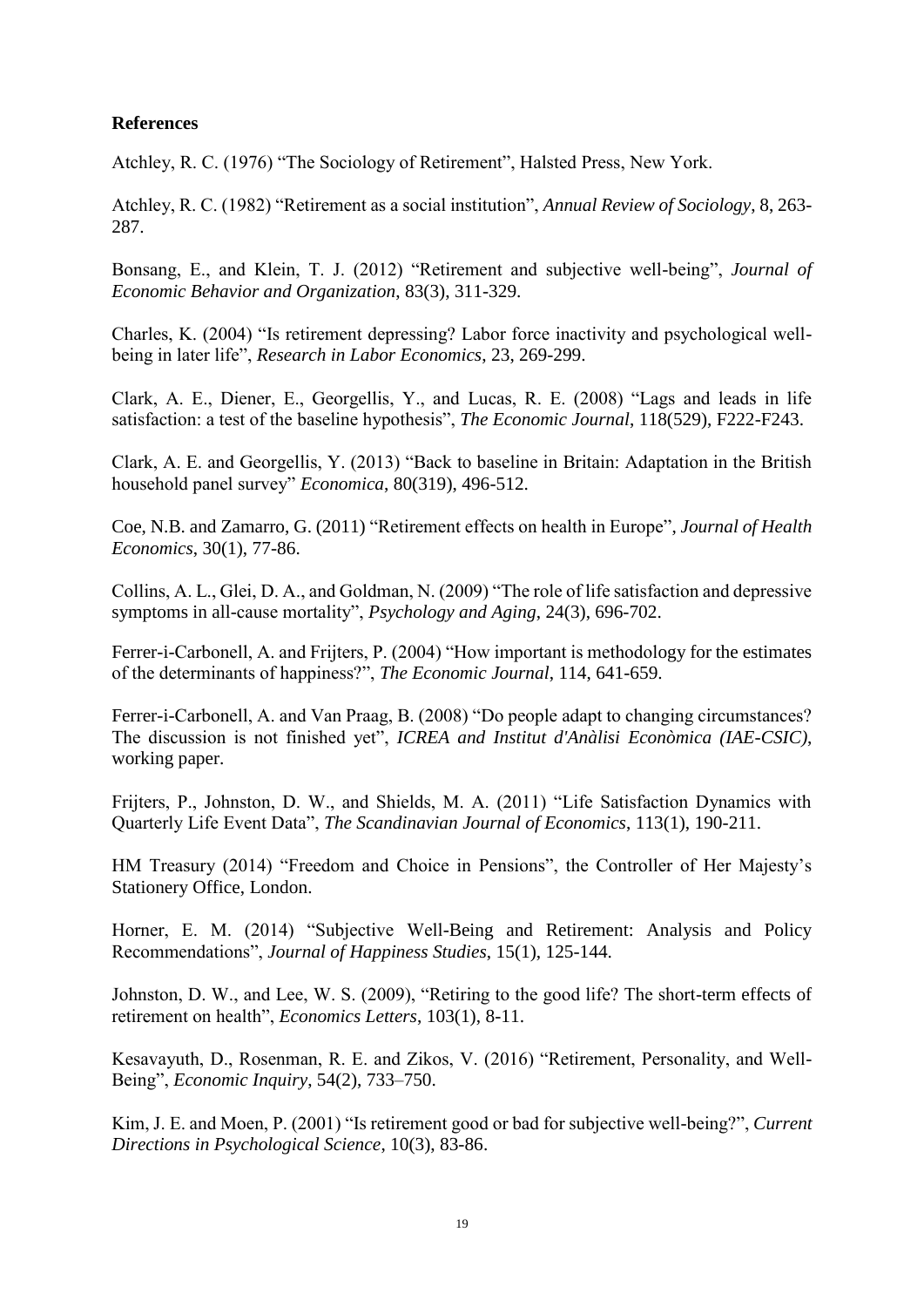# **References**

Atchley, R. C. (1976) "The Sociology of Retirement", Halsted Press, New York.

Atchley, R. C. (1982) "Retirement as a social institution", *Annual Review of Sociology*, 8, 263- 287.

Bonsang, E., and Klein, T. J. (2012) "Retirement and subjective well-being", *Journal of Economic Behavior and Organization*, 83(3), 311-329.

Charles, K. (2004) "Is retirement depressing? Labor force inactivity and psychological wellbeing in later life", *Research in Labor Economics*, 23, 269-299.

Clark, A. E., Diener, E., Georgellis, Y., and Lucas, R. E. (2008) "Lags and leads in life satisfaction: a test of the baseline hypothesis", *The Economic Journal*, 118(529), F222-F243.

Clark, A. E. and Georgellis, Y. (2013) "Back to baseline in Britain: Adaptation in the British household panel survey" *Economica*, 80(319), 496-512.

Coe, N.B. and Zamarro, G. (2011) "Retirement effects on health in Europe", *Journal of Health Economics*, 30(1), 77-86.

Collins, A. L., Glei, D. A., and Goldman, N. (2009) "The role of life satisfaction and depressive symptoms in all-cause mortality", *Psychology and Aging*, 24(3), 696-702.

Ferrer-i-Carbonell, A. and Frijters, P. (2004) "How important is methodology for the estimates of the determinants of happiness?", *The Economic Journal*, 114, 641-659.

Ferrer-i-Carbonell, A. and Van Praag, B. (2008) "Do people adapt to changing circumstances? The discussion is not finished yet", *ICREA and Institut d'Anàlisi Econòmica (IAE-CSIC)*, working paper.

Frijters, P., Johnston, D. W., and Shields, M. A. (2011) "Life Satisfaction Dynamics with Quarterly Life Event Data", *The Scandinavian Journal of Economics*, 113(1), 190-211.

HM Treasury (2014) "Freedom and Choice in Pensions", the Controller of Her Majesty's Stationery Office, London.

Horner, E. M. (2014) "Subjective Well-Being and Retirement: Analysis and Policy Recommendations", *Journal of Happiness Studies*, 15(1), 125-144.

Johnston, D. W., and Lee, W. S. (2009), "Retiring to the good life? The short-term effects of retirement on health", *Economics Letters*, 103(1), 8-11.

Kesavayuth, D., Rosenman, R. E. and Zikos, V. (2016) "Retirement, Personality, and Well-Being", *Economic Inquiry*, 54(2), 733–750.

Kim, J. E. and Moen, P. (2001) "Is retirement good or bad for subjective well-being?", *Current Directions in Psychological Science*, 10(3), 83-86.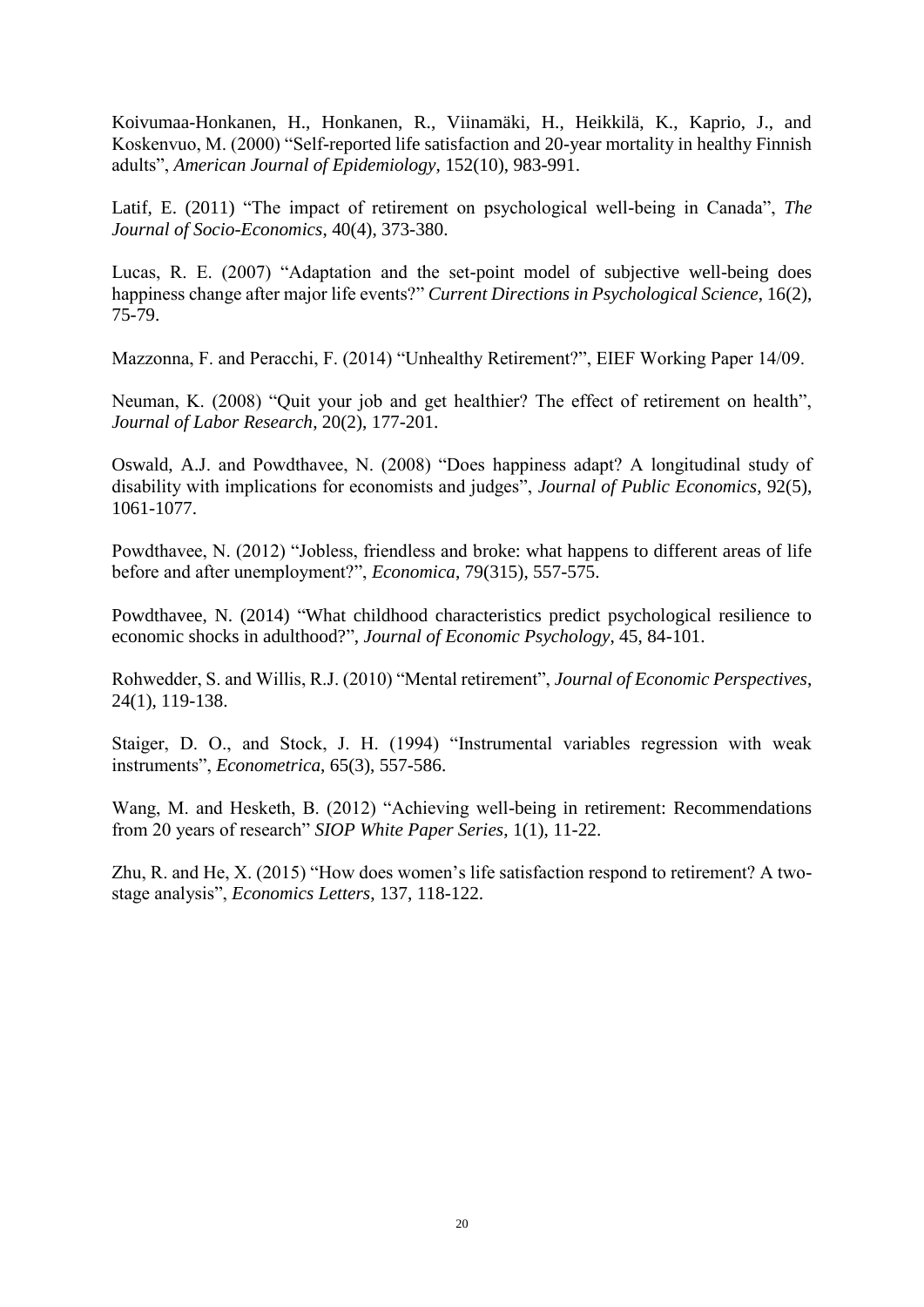Koivumaa-Honkanen, H., Honkanen, R., Viinamäki, H., Heikkilä, K., Kaprio, J., and Koskenvuo, M. (2000) "Self-reported life satisfaction and 20-year mortality in healthy Finnish adults", *American Journal of Epidemiology*, 152(10), 983-991.

Latif, E. (2011) "The impact of retirement on psychological well-being in Canada", *The Journal of Socio-Economics*, 40(4), 373-380.

Lucas, R. E. (2007) "Adaptation and the set-point model of subjective well-being does happiness change after major life events?" *Current Directions in Psychological Science*, 16(2), 75-79.

Mazzonna, F. and Peracchi, F. (2014) "Unhealthy Retirement?", EIEF Working Paper 14/09.

Neuman, K. (2008) "Quit your job and get healthier? The effect of retirement on health", *Journal of Labor Research*, 20(2), 177-201.

Oswald, A.J. and Powdthavee, N. (2008) "Does happiness adapt? A longitudinal study of disability with implications for economists and judges", *Journal of Public Economics*, 92(5), 1061-1077.

Powdthavee, N. (2012) "Jobless, friendless and broke: what happens to different areas of life before and after unemployment?", *Economica*, 79(315), 557-575.

Powdthavee, N. (2014) "What childhood characteristics predict psychological resilience to economic shocks in adulthood?", *Journal of Economic Psychology*, 45, 84-101.

Rohwedder, S. and Willis, R.J. (2010) "Mental retirement", *Journal of Economic Perspectives*, 24(1), 119-138.

Staiger, D. O., and Stock, J. H. (1994) "Instrumental variables regression with weak instruments", *Econometrica*, 65(3), 557-586.

Wang, M. and Hesketh, B. (2012) "Achieving well-being in retirement: Recommendations from 20 years of research" *SIOP White Paper Series*, 1(1), 11-22.

Zhu, R. and He, X. (2015) "How does women's life satisfaction respond to retirement? A twostage analysis", *Economics Letters*, 137, 118-122.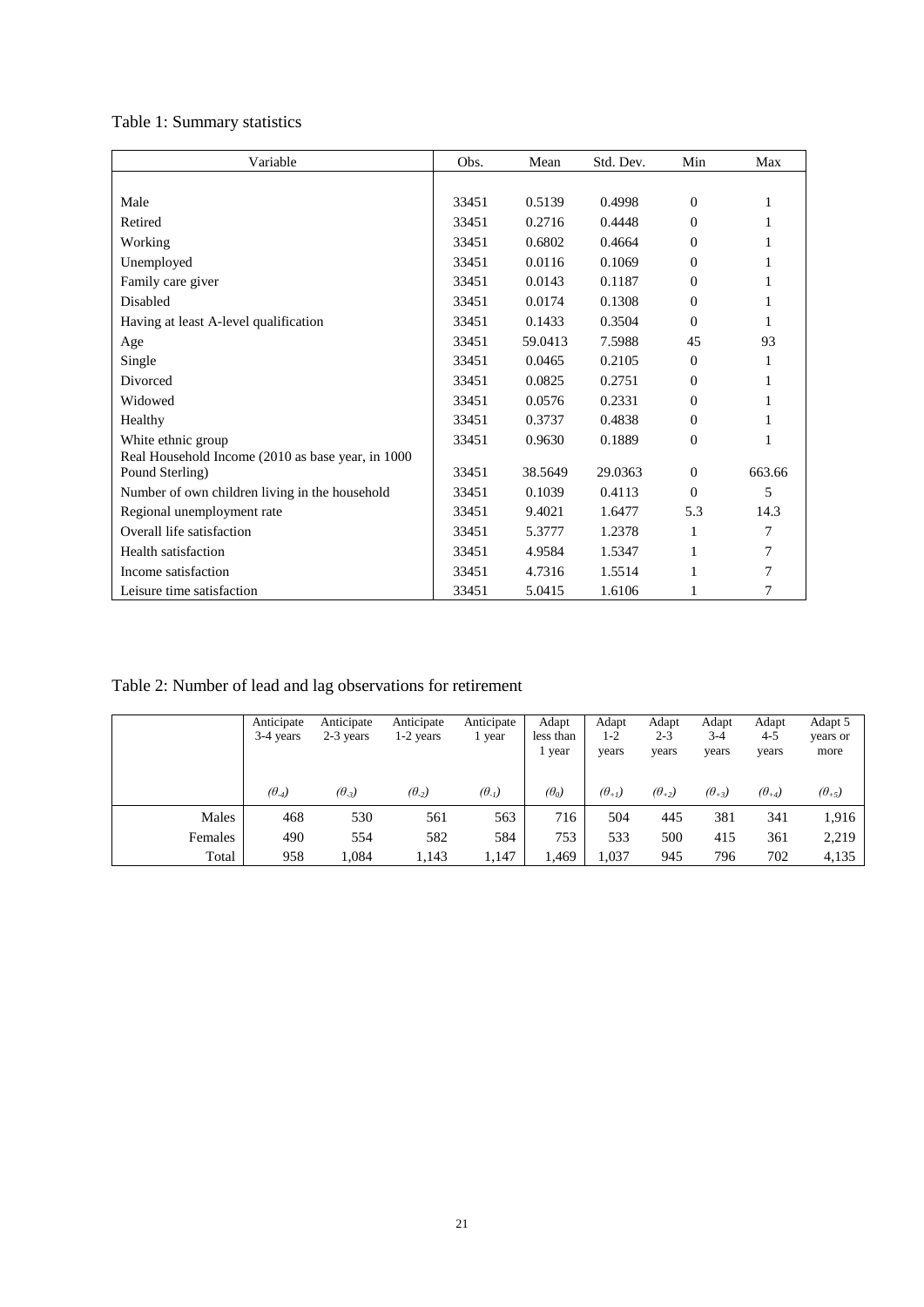# Table 1: Summary statistics

| Variable                                          | Obs.  | Mean    | Std. Dev. | Min      | Max    |
|---------------------------------------------------|-------|---------|-----------|----------|--------|
|                                                   |       |         |           |          |        |
| Male                                              | 33451 | 0.5139  | 0.4998    | $\Omega$ | 1      |
| Retired                                           | 33451 | 0.2716  | 0.4448    | $\Omega$ | 1      |
| Working                                           | 33451 | 0.6802  | 0.4664    | 0        | 1      |
| Unemployed                                        | 33451 | 0.0116  | 0.1069    | $\Omega$ | 1      |
| Family care giver                                 | 33451 | 0.0143  | 0.1187    | $\Omega$ | 1      |
| Disabled                                          | 33451 | 0.0174  | 0.1308    | $\Omega$ | 1      |
| Having at least A-level qualification             | 33451 | 0.1433  | 0.3504    | $\Omega$ | 1      |
| Age                                               | 33451 | 59.0413 | 7.5988    | 45       | 93     |
| Single                                            | 33451 | 0.0465  | 0.2105    | $\Omega$ | 1      |
| Divorced                                          | 33451 | 0.0825  | 0.2751    | $\Omega$ | 1      |
| Widowed                                           | 33451 | 0.0576  | 0.2331    | $\Omega$ | 1      |
| Healthy                                           | 33451 | 0.3737  | 0.4838    | $\Omega$ | 1      |
| White ethnic group                                | 33451 | 0.9630  | 0.1889    | $\Omega$ | 1      |
| Real Household Income (2010 as base year, in 1000 |       |         |           |          |        |
| Pound Sterling)                                   | 33451 | 38.5649 | 29.0363   | $\Omega$ | 663.66 |
| Number of own children living in the household    | 33451 | 0.1039  | 0.4113    | $\Omega$ | 5      |
| Regional unemployment rate                        | 33451 | 9.4021  | 1.6477    | 5.3      | 14.3   |
| Overall life satisfaction                         | 33451 | 5.3777  | 1.2378    | 1        | 7      |
| Health satisfaction                               | 33451 | 4.9584  | 1.5347    | 1        | 7      |
| Income satisfaction                               | 33451 | 4.7316  | 1.5514    | 1        | 7      |
| Leisure time satisfaction                         | 33451 | 5.0415  | 1.6106    | 1        | 7      |

# Table 2: Number of lead and lag observations for retirement

|         | Anticipate<br>3-4 years | Anticipate<br>2-3 years | Anticipate<br>1-2 years | Anticipate<br>l year | Adapt<br>less than<br>1 year | Adapt<br>$1-2$<br>years | Adapt<br>$2 - 3$<br>years | Adapt<br>$3 - 4$<br>years | Adapt<br>$4 - 5$<br>years | Adapt 5<br>years or<br>more |
|---------|-------------------------|-------------------------|-------------------------|----------------------|------------------------------|-------------------------|---------------------------|---------------------------|---------------------------|-----------------------------|
|         | $(\theta_4)$            | $(\theta_{-3})$         | $(\theta_{-2})$         | $(\theta_{-1})$      | $(\theta_0)$                 | $(\theta_{+1})$         | $(\theta_{+2})$           | $(\theta_{+3})$           | $(\theta_{+4})$           | $(\theta_{+5})$             |
| Males   | 468                     | 530                     | 561                     | 563                  | 716                          | 504                     | 445                       | 381                       | 341                       | 1,916                       |
| Females | 490                     | 554                     | 582                     | 584                  | 753                          | 533                     | 500                       | 415                       | 361                       | 2,219                       |
| Total   | 958                     | 1.084                   | 1.143                   | 1,147                | 1,469                        | 1,037                   | 945                       | 796                       | 702                       | 4,135                       |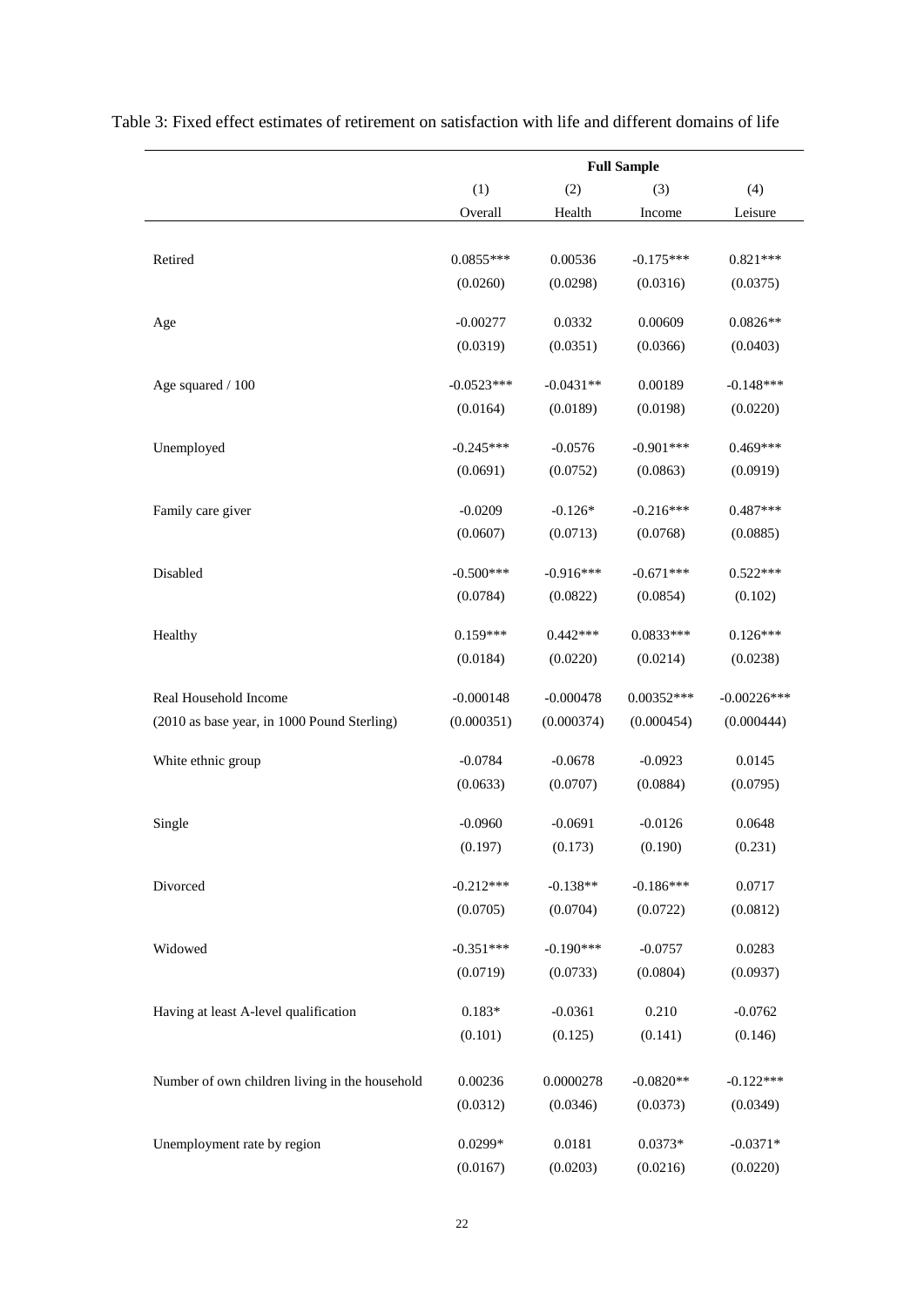|                                                |              |             | <b>Full Sample</b> |               |
|------------------------------------------------|--------------|-------------|--------------------|---------------|
|                                                | (1)          | (2)         | (3)                | (4)           |
|                                                | Overall      | Health      | Income             | Leisure       |
| Retired                                        | $0.0855***$  | 0.00536     | $-0.175***$        | $0.821***$    |
|                                                | (0.0260)     | (0.0298)    | (0.0316)           | (0.0375)      |
|                                                |              |             |                    |               |
| Age                                            | $-0.00277$   | 0.0332      | 0.00609            | $0.0826**$    |
|                                                | (0.0319)     | (0.0351)    | (0.0366)           | (0.0403)      |
| Age squared / 100                              | $-0.0523***$ | $-0.0431**$ | 0.00189            | $-0.148***$   |
|                                                | (0.0164)     | (0.0189)    | (0.0198)           | (0.0220)      |
| Unemployed                                     | $-0.245***$  | $-0.0576$   | $-0.901***$        | $0.469***$    |
|                                                | (0.0691)     | (0.0752)    | (0.0863)           | (0.0919)      |
| Family care giver                              | $-0.0209$    | $-0.126*$   | $-0.216***$        | $0.487***$    |
|                                                | (0.0607)     | (0.0713)    | (0.0768)           | (0.0885)      |
| Disabled                                       | $-0.500***$  | $-0.916***$ | $-0.671***$        | $0.522***$    |
|                                                | (0.0784)     | (0.0822)    | (0.0854)           | (0.102)       |
| Healthy                                        | $0.159***$   | $0.442***$  | $0.0833***$        | $0.126***$    |
|                                                | (0.0184)     | (0.0220)    | (0.0214)           | (0.0238)      |
| Real Household Income                          | $-0.000148$  | $-0.000478$ | $0.00352***$       | $-0.00226***$ |
| (2010 as base year, in 1000 Pound Sterling)    | (0.000351)   | (0.000374)  | (0.000454)         | (0.000444)    |
| White ethnic group                             | $-0.0784$    | $-0.0678$   | $-0.0923$          | 0.0145        |
|                                                | (0.0633)     | (0.0707)    | (0.0884)           | (0.0795)      |
| Single                                         | $-0.0960$    | $-0.0691$   | $-0.0126$          | 0.0648        |
|                                                | (0.197)      | (0.173)     | (0.190)            | (0.231)       |
| Divorced                                       | $-0.212***$  | $-0.138**$  | $-0.186***$        | 0.0717        |
|                                                | (0.0705)     | (0.0704)    | (0.0722)           | (0.0812)      |
| Widowed                                        | $-0.351***$  | $-0.190***$ | $-0.0757$          | 0.0283        |
|                                                | (0.0719)     | (0.0733)    | (0.0804)           | (0.0937)      |
|                                                |              |             |                    |               |
| Having at least A-level qualification          | $0.183*$     | $-0.0361$   | 0.210              | $-0.0762$     |
|                                                | (0.101)      | (0.125)     | (0.141)            | (0.146)       |
| Number of own children living in the household | 0.00236      | 0.0000278   | $-0.0820**$        | $-0.122***$   |
|                                                | (0.0312)     | (0.0346)    | (0.0373)           | (0.0349)      |
| Unemployment rate by region                    | 0.0299*      | 0.0181      | $0.0373*$          | $-0.0371*$    |
|                                                | (0.0167)     | (0.0203)    | (0.0216)           | (0.0220)      |

Table 3: Fixed effect estimates of retirement on satisfaction with life and different domains of life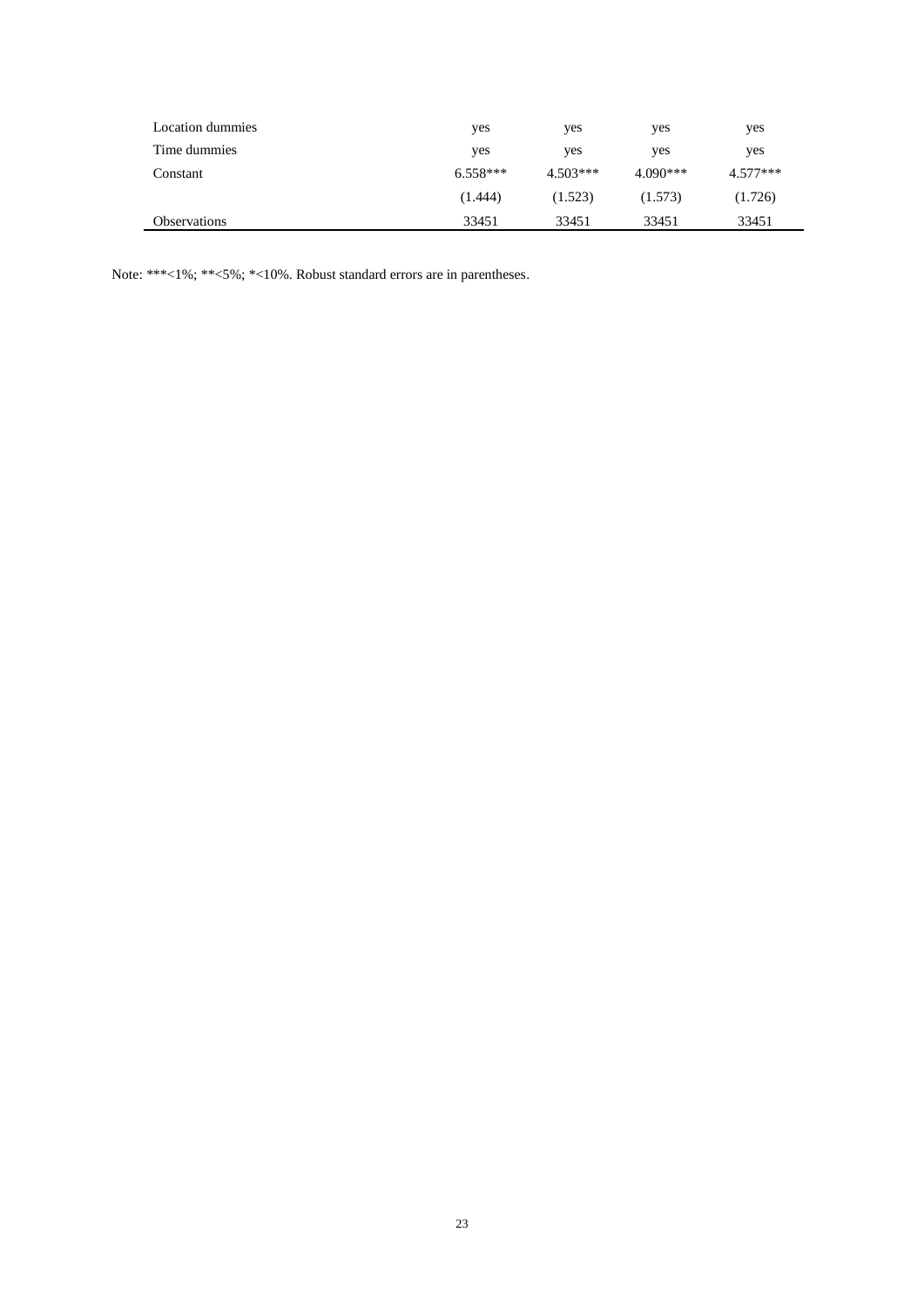| Location dummies    | yes        | yes        | yes        | yes        |
|---------------------|------------|------------|------------|------------|
| Time dummies        | yes        | yes        | yes        | yes        |
| Constant            | $6.558***$ | $4.503***$ | $4.090***$ | $4.577***$ |
|                     | (1.444)    | (1.523)    | (1.573)    | (1.726)    |
| <b>Observations</b> | 33451      | 33451      | 33451      | 33451      |

Note: \*\*\*<1%; \*\*<5%; \*<10%. Robust standard errors are in parentheses.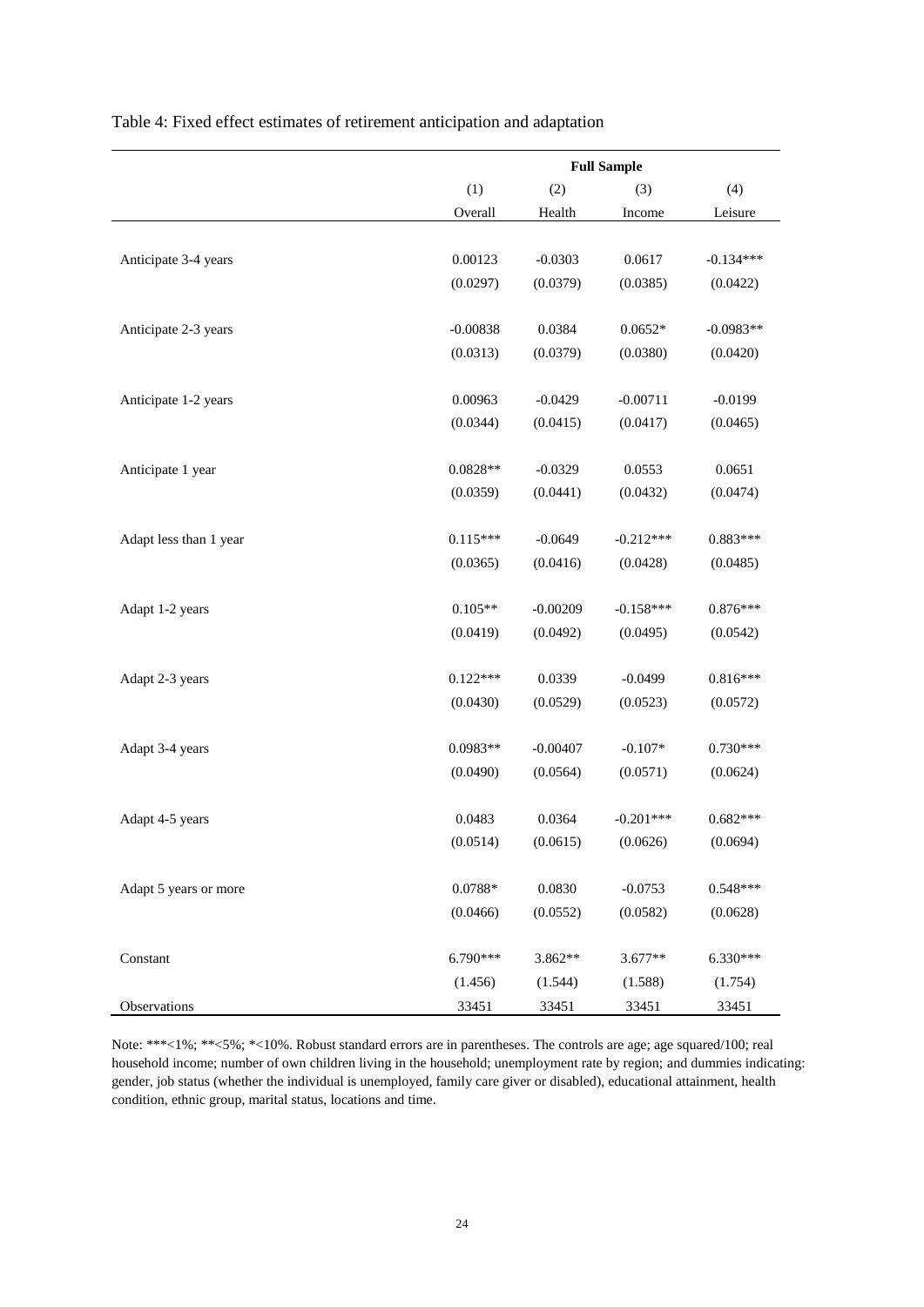|                        | (1)             | (2)        | (3)         | (4)         |
|------------------------|-----------------|------------|-------------|-------------|
|                        | Overall         | Health     | Income      | Leisure     |
|                        |                 |            |             |             |
| Anticipate 3-4 years   | 0.00123         | $-0.0303$  | 0.0617      | $-0.134***$ |
|                        | (0.0297)        | (0.0379)   | (0.0385)    | (0.0422)    |
|                        |                 |            |             |             |
| Anticipate 2-3 years   | $-0.00838$      | 0.0384     | $0.0652*$   | $-0.0983**$ |
|                        | (0.0313)        | (0.0379)   | (0.0380)    | (0.0420)    |
|                        |                 |            |             |             |
| Anticipate 1-2 years   | 0.00963         | $-0.0429$  | $-0.00711$  | $-0.0199$   |
|                        | (0.0344)        | (0.0415)   | (0.0417)    | (0.0465)    |
|                        |                 |            |             |             |
| Anticipate 1 year      | $0.0828**$      | $-0.0329$  | 0.0553      | 0.0651      |
|                        | (0.0359)        | (0.0441)   | (0.0432)    | (0.0474)    |
|                        |                 |            |             |             |
| Adapt less than 1 year | $0.115***$      | $-0.0649$  | $-0.212***$ | 0.883***    |
|                        | (0.0365)        | (0.0416)   | (0.0428)    | (0.0485)    |
|                        |                 |            |             |             |
| Adapt 1-2 years        | $0.105**$       | $-0.00209$ | $-0.158***$ | $0.876***$  |
|                        | (0.0419)        | (0.0492)   | (0.0495)    | (0.0542)    |
| Adapt 2-3 years        | $0.122***$      | 0.0339     | $-0.0499$   | $0.816***$  |
|                        | (0.0430)        | (0.0529)   | (0.0523)    | (0.0572)    |
|                        |                 |            |             |             |
| Adapt 3-4 years        | $0.0983**$      | $-0.00407$ | $-0.107*$   | $0.730***$  |
|                        | (0.0490)        | (0.0564)   | (0.0571)    | (0.0624)    |
|                        |                 |            |             |             |
| Adapt 4-5 years        | 0.0483          | 0.0364     | $-0.201***$ | $0.682***$  |
|                        | (0.0514)        | (0.0615)   | (0.0626)    | (0.0694)    |
|                        |                 |            |             |             |
| Adapt 5 years or more  | $0.0788^{\ast}$ | 0.0830     | $-0.0753$   | 0.548***    |
|                        | (0.0466)        | (0.0552)   | (0.0582)    | (0.0628)    |
|                        |                 |            |             |             |
| Constant               | $6.790***$      | 3.862**    | $3.677**$   | $6.330***$  |
|                        | (1.456)         | (1.544)    | (1.588)     | (1.754)     |
| Observations           | 33451           | 33451      | 33451       | 33451       |

Table 4: Fixed effect estimates of retirement anticipation and adaptation

Note: \*\*\*<1%; \*\*<5%; \*<10%. Robust standard errors are in parentheses. The controls are age; age squared/100; real household income; number of own children living in the household; unemployment rate by region; and dummies indicating: gender, job status (whether the individual is unemployed, family care giver or disabled), educational attainment, health condition, ethnic group, marital status, locations and time.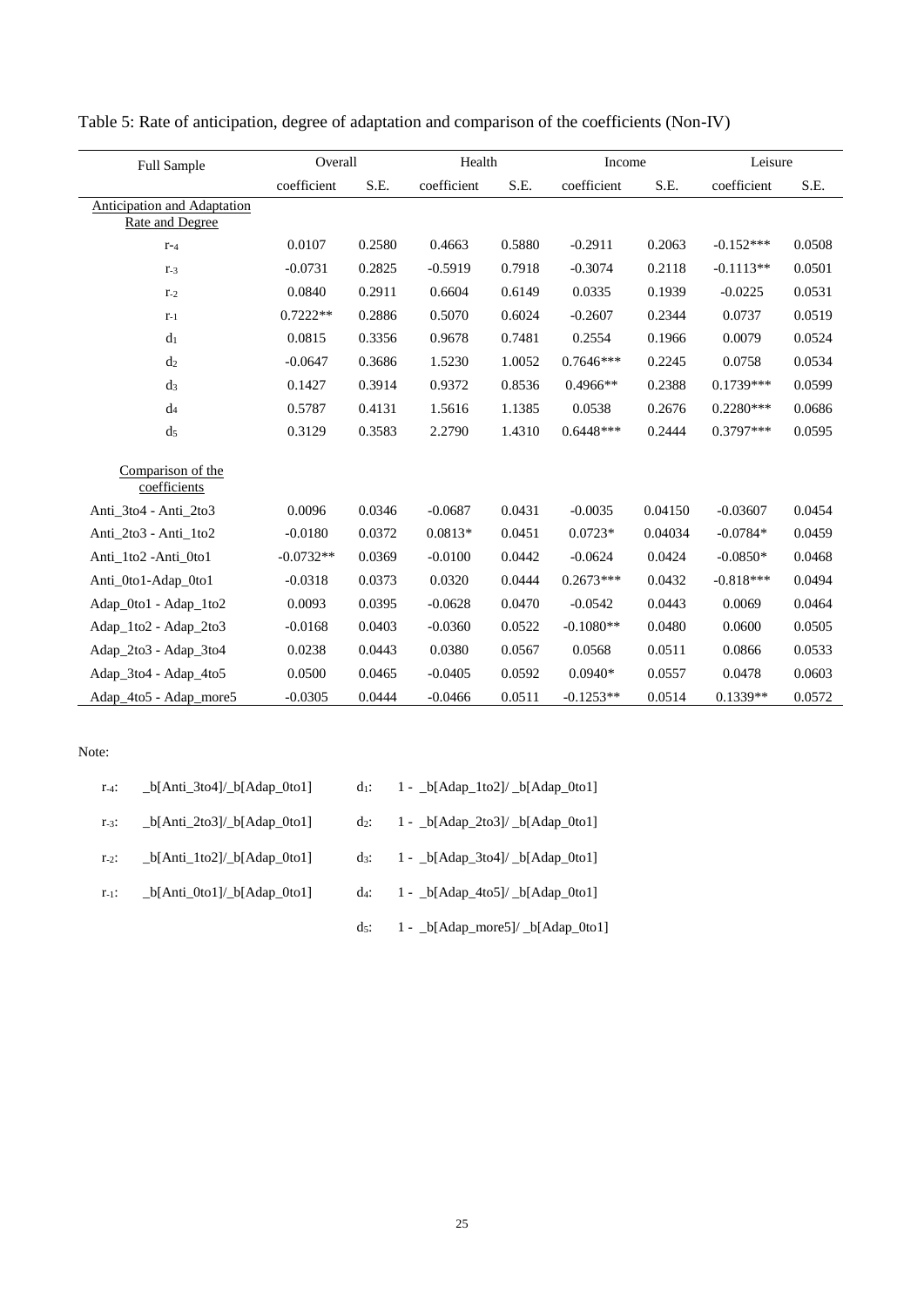| Full Sample                                                  | Overall     | Health |             |        | Income      |         | Leisure     |        |
|--------------------------------------------------------------|-------------|--------|-------------|--------|-------------|---------|-------------|--------|
|                                                              | coefficient | S.E.   | coefficient | S.E.   | coefficient | S.E.    | coefficient | S.E.   |
| <b>Anticipation and Adaptation</b><br><b>Rate and Degree</b> |             |        |             |        |             |         |             |        |
| $r-4$                                                        | 0.0107      | 0.2580 | 0.4663      | 0.5880 | $-0.2911$   | 0.2063  | $-0.152***$ | 0.0508 |
| $r_{-3}$                                                     | $-0.0731$   | 0.2825 | $-0.5919$   | 0.7918 | $-0.3074$   | 0.2118  | $-0.1113**$ | 0.0501 |
| $r_{-2}$                                                     | 0.0840      | 0.2911 | 0.6604      | 0.6149 | 0.0335      | 0.1939  | $-0.0225$   | 0.0531 |
| $r-1$                                                        | $0.7222**$  | 0.2886 | 0.5070      | 0.6024 | $-0.2607$   | 0.2344  | 0.0737      | 0.0519 |
| d <sub>1</sub>                                               | 0.0815      | 0.3356 | 0.9678      | 0.7481 | 0.2554      | 0.1966  | 0.0079      | 0.0524 |
| d <sub>2</sub>                                               | $-0.0647$   | 0.3686 | 1.5230      | 1.0052 | $0.7646***$ | 0.2245  | 0.0758      | 0.0534 |
| $d_3$                                                        | 0.1427      | 0.3914 | 0.9372      | 0.8536 | $0.4966**$  | 0.2388  | 0.1739***   | 0.0599 |
| $d_4$                                                        | 0.5787      | 0.4131 | 1.5616      | 1.1385 | 0.0538      | 0.2676  | $0.2280***$ | 0.0686 |
| d <sub>5</sub>                                               | 0.3129      | 0.3583 | 2.2790      | 1.4310 | $0.6448***$ | 0.2444  | 0.3797***   | 0.0595 |
| Comparison of the<br>coefficients                            |             |        |             |        |             |         |             |        |
| Anti 3to4 - Anti 2to3                                        | 0.0096      | 0.0346 | $-0.0687$   | 0.0431 | $-0.0035$   | 0.04150 | $-0.03607$  | 0.0454 |
| Anti 2to3 - Anti 1to2                                        | $-0.0180$   | 0.0372 | $0.0813*$   | 0.0451 | $0.0723*$   | 0.04034 | $-0.0784*$  | 0.0459 |
| Anti 1to2 - Anti 0to1                                        | $-0.0732**$ | 0.0369 | $-0.0100$   | 0.0442 | $-0.0624$   | 0.0424  | $-0.0850*$  | 0.0468 |
| Anti_0to1-Adap_0to1                                          | $-0.0318$   | 0.0373 | 0.0320      | 0.0444 | $0.2673***$ | 0.0432  | $-0.818***$ | 0.0494 |
| Adap_0to1 - Adap_1to2                                        | 0.0093      | 0.0395 | $-0.0628$   | 0.0470 | $-0.0542$   | 0.0443  | 0.0069      | 0.0464 |
| Adap_1to2 - Adap_2to3                                        | $-0.0168$   | 0.0403 | $-0.0360$   | 0.0522 | $-0.1080**$ | 0.0480  | 0.0600      | 0.0505 |
| Adap_2to3 - Adap_3to4                                        | 0.0238      | 0.0443 | 0.0380      | 0.0567 | 0.0568      | 0.0511  | 0.0866      | 0.0533 |
| Adap_3to4 - Adap_4to5                                        | 0.0500      | 0.0465 | $-0.0405$   | 0.0592 | $0.0940*$   | 0.0557  | 0.0478      | 0.0603 |
| Adap_4to5 - Adap_more5                                       | $-0.0305$   | 0.0444 | $-0.0466$   | 0.0511 | $-0.1253**$ | 0.0514  | $0.1339**$  | 0.0572 |

Table 5: Rate of anticipation, degree of adaptation and comparison of the coefficients (Non-IV)

#### Note:

| $r_{-4}$ : | $_b[Anti_3to4]/b[Adap_0to1]$ | $d_1$ :         | $1 - \frac{b[\text{Adap}\_1\text{to}2]}{b[\text{Adap}\_0\text{to}1]}$ |
|------------|------------------------------|-----------------|-----------------------------------------------------------------------|
| $r_{-3}$ : | $_b[Anti_2to3]/b[Adap_0to1]$ | $\mathrm{d}z$ : | $1 - b[Adap_2to3]/b[Adap_0to1]$                                       |
| $r_{-2}$ : | $_b[Anti_1to2]/b[Adap_0to1]$ | $\mathrm{d}$ 3: | $1 - b[Adap_3to4]/b[Adap_0to1]$                                       |
| $r_{-1}$ : | $_b[Anti_0to1]/b[Adap_0to1]$ | $d_4$ :         | $1 - b[Adap_4to5]/b[Adap_0to1]$                                       |
|            |                              | ds:             | 1 - _b[Adap_more5]/ _b[Adap_0to1]                                     |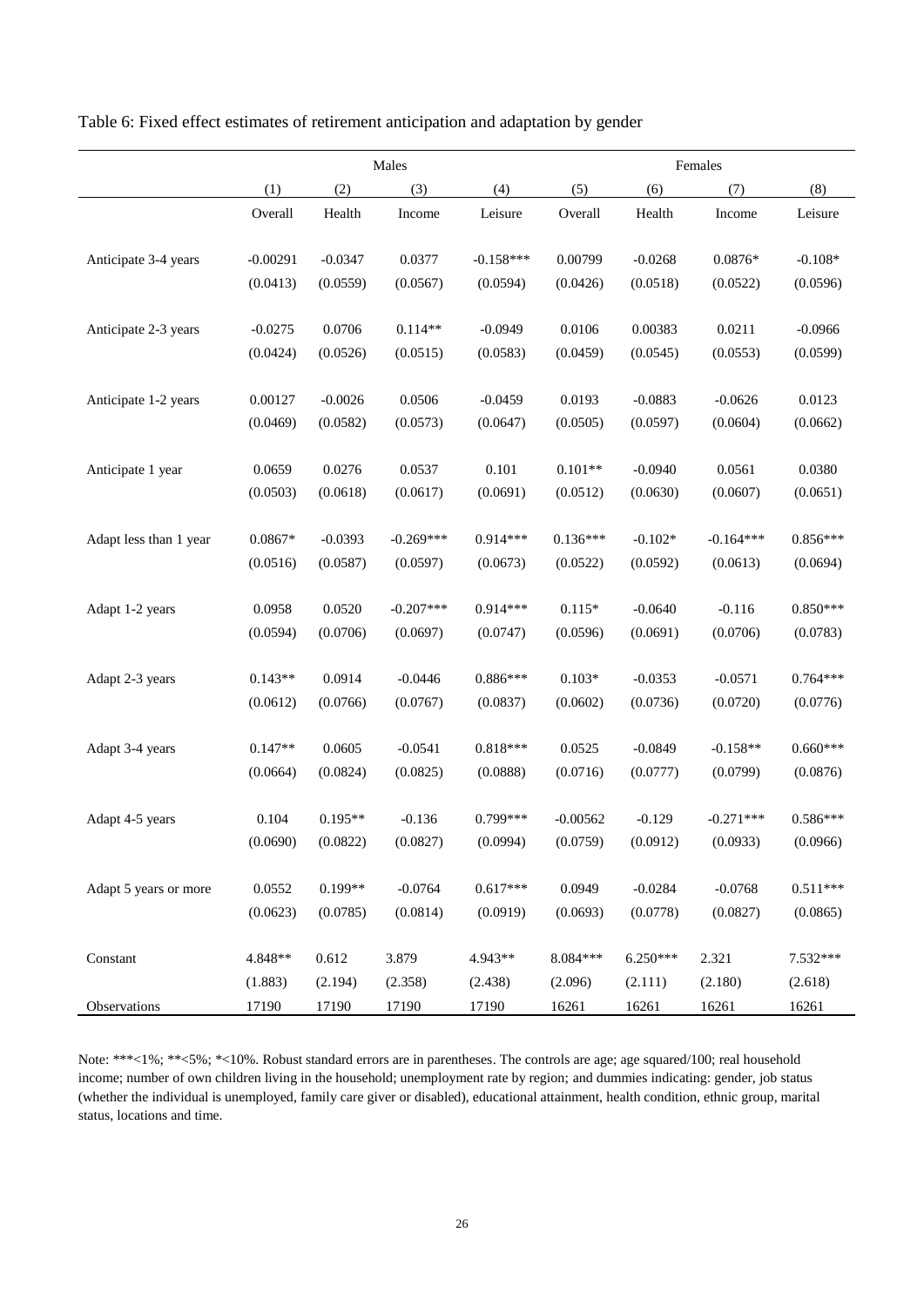Table 6: Fixed effect estimates of retirement anticipation and adaptation by gender

|                        |            |           | Males       |             |            |            | Females     |            |
|------------------------|------------|-----------|-------------|-------------|------------|------------|-------------|------------|
|                        | (1)        | (2)       | (3)         | (4)         | (5)        | (6)        | (7)         | (8)        |
|                        | Overall    | Health    | Income      | Leisure     | Overall    | Health     | Income      | Leisure    |
|                        |            |           |             |             |            |            |             |            |
| Anticipate 3-4 years   | $-0.00291$ | $-0.0347$ | 0.0377      | $-0.158***$ | 0.00799    | $-0.0268$  | $0.0876*$   | $-0.108*$  |
|                        | (0.0413)   | (0.0559)  | (0.0567)    | (0.0594)    | (0.0426)   | (0.0518)   | (0.0522)    | (0.0596)   |
|                        |            |           |             |             |            |            |             |            |
| Anticipate 2-3 years   | $-0.0275$  | 0.0706    | $0.114**$   | $-0.0949$   | 0.0106     | 0.00383    | 0.0211      | $-0.0966$  |
|                        | (0.0424)   | (0.0526)  | (0.0515)    | (0.0583)    | (0.0459)   | (0.0545)   | (0.0553)    | (0.0599)   |
| Anticipate 1-2 years   | 0.00127    | $-0.0026$ | 0.0506      | $-0.0459$   | 0.0193     | $-0.0883$  | $-0.0626$   | 0.0123     |
|                        | (0.0469)   | (0.0582)  | (0.0573)    | (0.0647)    | (0.0505)   | (0.0597)   | (0.0604)    | (0.0662)   |
|                        |            |           |             |             |            |            |             |            |
| Anticipate 1 year      | 0.0659     | 0.0276    | 0.0537      | 0.101       | $0.101**$  | $-0.0940$  | 0.0561      | 0.0380     |
|                        | (0.0503)   | (0.0618)  | (0.0617)    | (0.0691)    | (0.0512)   | (0.0630)   | (0.0607)    | (0.0651)   |
|                        |            |           |             |             |            |            |             |            |
| Adapt less than 1 year | $0.0867*$  | $-0.0393$ | $-0.269***$ | $0.914***$  | $0.136***$ | $-0.102*$  | $-0.164***$ | $0.856***$ |
|                        | (0.0516)   | (0.0587)  | (0.0597)    | (0.0673)    | (0.0522)   | (0.0592)   | (0.0613)    | (0.0694)   |
|                        |            |           |             |             |            |            |             |            |
| Adapt 1-2 years        | 0.0958     | 0.0520    | $-0.207***$ | $0.914***$  | $0.115*$   | $-0.0640$  | $-0.116$    | $0.850***$ |
|                        | (0.0594)   | (0.0706)  | (0.0697)    | (0.0747)    | (0.0596)   | (0.0691)   | (0.0706)    | (0.0783)   |
|                        |            |           |             |             |            |            |             |            |
| Adapt 2-3 years        | $0.143**$  | 0.0914    | $-0.0446$   | $0.886***$  | $0.103*$   | $-0.0353$  | $-0.0571$   | $0.764***$ |
|                        | (0.0612)   | (0.0766)  | (0.0767)    | (0.0837)    | (0.0602)   | (0.0736)   | (0.0720)    | (0.0776)   |
|                        |            |           |             |             |            |            |             |            |
| Adapt 3-4 years        | $0.147**$  | 0.0605    | $-0.0541$   | $0.818***$  | 0.0525     | $-0.0849$  | $-0.158**$  | $0.660***$ |
|                        | (0.0664)   | (0.0824)  | (0.0825)    | (0.0888)    | (0.0716)   | (0.0777)   | (0.0799)    | (0.0876)   |
| Adapt 4-5 years        | 0.104      | $0.195**$ | $-0.136$    | $0.799***$  | $-0.00562$ | $-0.129$   | $-0.271***$ | $0.586***$ |
|                        | (0.0690)   | (0.0822)  | (0.0827)    | (0.0994)    | (0.0759)   | (0.0912)   | (0.0933)    | (0.0966)   |
|                        |            |           |             |             |            |            |             |            |
| Adapt 5 years or more  | 0.0552     | $0.199**$ | $-0.0764$   | $0.617***$  | 0.0949     | $-0.0284$  | $-0.0768$   | $0.511***$ |
|                        | (0.0623)   | (0.0785)  | (0.0814)    | (0.0919)    | (0.0693)   | (0.0778)   | (0.0827)    | (0.0865)   |
|                        |            |           |             |             |            |            |             |            |
| Constant               | 4.848**    | 0.612     | 3.879       | 4.943**     | 8.084***   | $6.250***$ | 2.321       | 7.532***   |
|                        | (1.883)    | (2.194)   | (2.358)     | (2.438)     | (2.096)    | (2.111)    | (2.180)     | (2.618)    |
| Observations           | 17190      | 17190     | 17190       | 17190       | 16261      | 16261      | 16261       | 16261      |

Note: \*\*\*<1%; \*\*<5%; \*<10%. Robust standard errors are in parentheses. The controls are age; age squared/100; real household income; number of own children living in the household; unemployment rate by region; and dummies indicating: gender, job status (whether the individual is unemployed, family care giver or disabled), educational attainment, health condition, ethnic group, marital status, locations and time.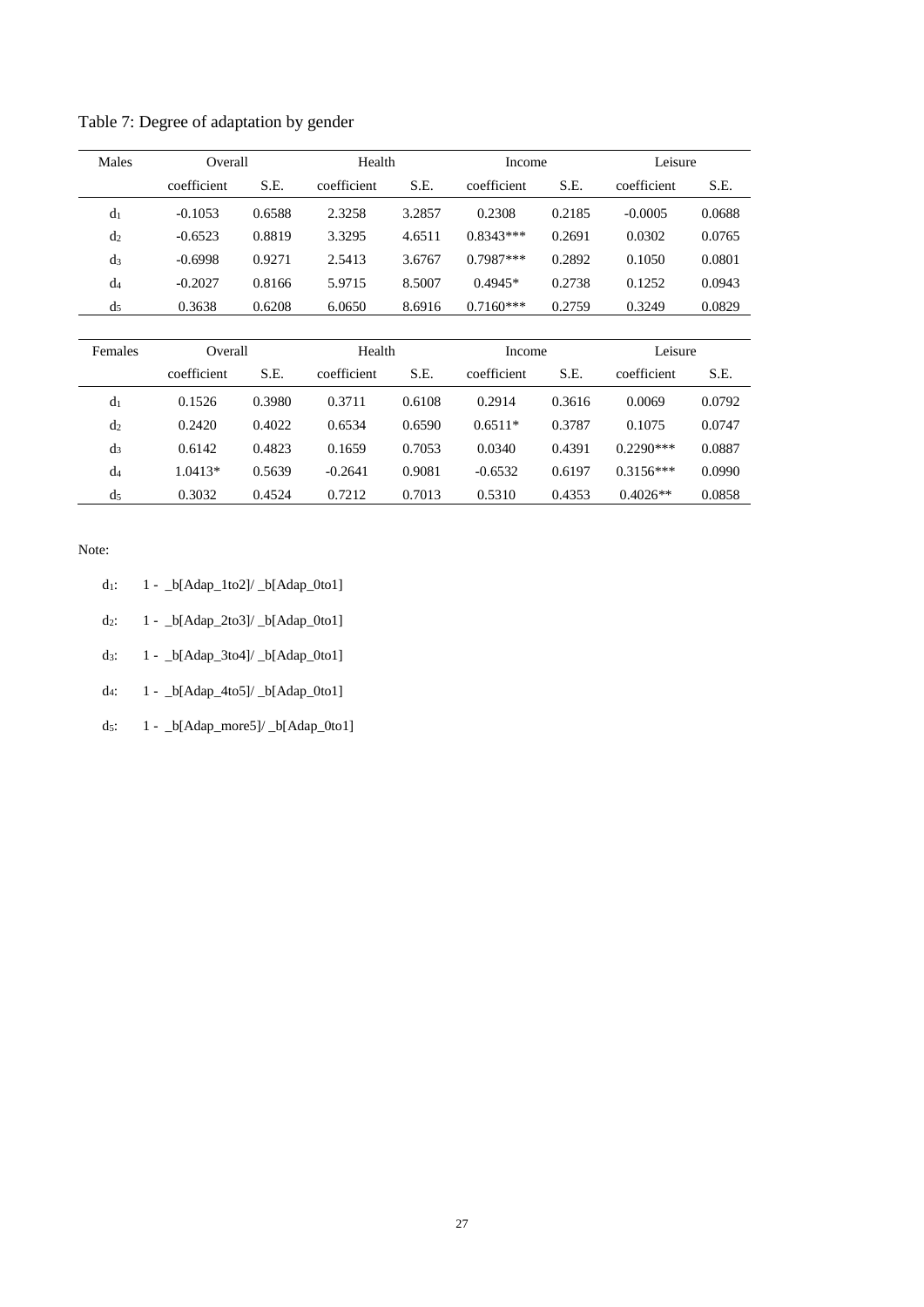| Males          | Overall     |        |             | Health |             | Income | Leisure     |        |
|----------------|-------------|--------|-------------|--------|-------------|--------|-------------|--------|
|                | coefficient | S.E.   | coefficient | S.E.   | coefficient | S.E.   | coefficient | S.E.   |
| d <sub>1</sub> | $-0.1053$   | 0.6588 | 2.3258      | 3.2857 | 0.2308      | 0.2185 | $-0.0005$   | 0.0688 |
| d <sub>2</sub> | $-0.6523$   | 0.8819 | 3.3295      | 4.6511 | $0.8343***$ | 0.2691 | 0.0302      | 0.0765 |
| $d_3$          | $-0.6998$   | 0.9271 | 2.5413      | 3.6767 | $0.7987***$ | 0.2892 | 0.1050      | 0.0801 |
| d4             | $-0.2027$   | 0.8166 | 5.9715      | 8.5007 | $0.4945*$   | 0.2738 | 0.1252      | 0.0943 |
| d5             | 0.3638      | 0.6208 | 6.0650      | 8.6916 | $0.7160***$ | 0.2759 | 0.3249      | 0.0829 |

| Females        | Overall     |        | Health      |        | Income      |        | Leisure     |        |
|----------------|-------------|--------|-------------|--------|-------------|--------|-------------|--------|
|                | coefficient | S.E.   | coefficient | S.E.   | coefficient | S.E.   | coefficient | S.E.   |
| d <sub>1</sub> | 0.1526      | 0.3980 | 0.3711      | 0.6108 | 0.2914      | 0.3616 | 0.0069      | 0.0792 |
| d <sub>2</sub> | 0.2420      | 0.4022 | 0.6534      | 0.6590 | $0.6511*$   | 0.3787 | 0.1075      | 0.0747 |
| $d_3$          | 0.6142      | 0.4823 | 0.1659      | 0.7053 | 0.0340      | 0.4391 | $0.2290***$ | 0.0887 |
| d <sub>4</sub> | $1.0413*$   | 0.5639 | $-0.2641$   | 0.9081 | $-0.6532$   | 0.6197 | $0.3156***$ | 0.0990 |
| d <sub>5</sub> | 0.3032      | 0.4524 | 0.7212      | 0.7013 | 0.5310      | 0.4353 | $0.4026**$  | 0.0858 |

Note:

| $d_1$ : | 1 - _b[Adap_1to2]/ _b[Adap_0to1] |  |  |
|---------|----------------------------------|--|--|
|         |                                  |  |  |

d2: 1 - \_b[Adap\_2to3]/ \_b[Adap\_0to1]

d3: 1 - \_b[Adap\_3to4]/ \_b[Adap\_0to1]

d4: 1 - \_b[Adap\_4to5]/ \_b[Adap\_0to1]

d5: 1 - \_b[Adap\_more5]/ \_b[Adap\_0to1]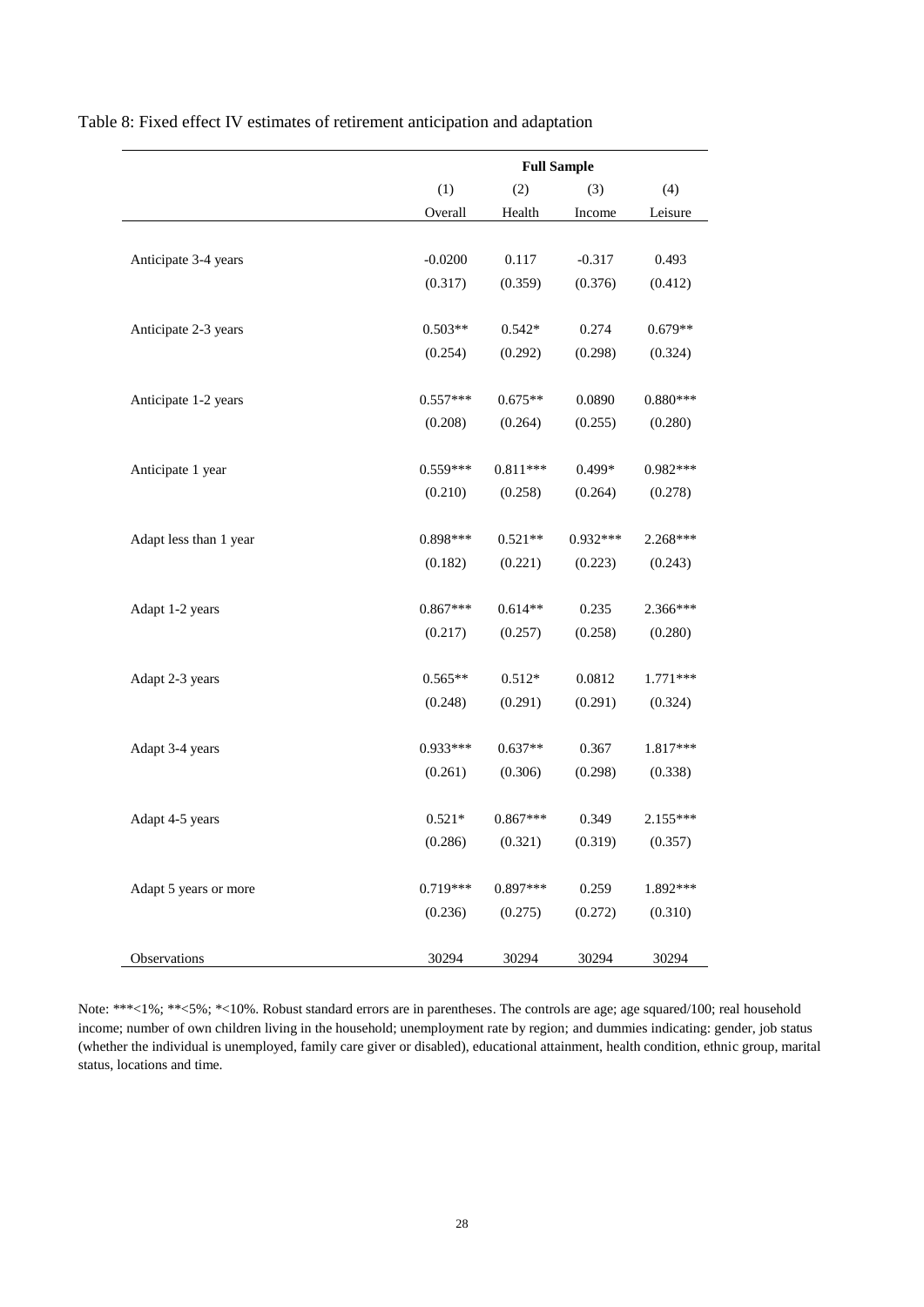Table 8: Fixed effect IV estimates of retirement anticipation and adaptation

|                        | <b>Full Sample</b> |            |            |            |  |
|------------------------|--------------------|------------|------------|------------|--|
|                        | (1)<br>(2)         |            | (3)        | (4)        |  |
|                        | Overall            | Health     | Income     | Leisure    |  |
|                        |                    |            |            |            |  |
| Anticipate 3-4 years   | $-0.0200$          | 0.117      | $-0.317$   | 0.493      |  |
|                        | (0.317)            | (0.359)    | (0.376)    | (0.412)    |  |
|                        |                    |            |            |            |  |
| Anticipate 2-3 years   | $0.503**$          | $0.542*$   | 0.274      | $0.679**$  |  |
|                        | (0.254)            | (0.292)    | (0.298)    | (0.324)    |  |
|                        |                    |            |            |            |  |
| Anticipate 1-2 years   | $0.557***$         | $0.675**$  | 0.0890     | $0.880***$ |  |
|                        | (0.208)            | (0.264)    | (0.255)    | (0.280)    |  |
|                        |                    |            |            |            |  |
| Anticipate 1 year      | $0.559***$         | $0.811***$ | $0.499*$   | $0.982***$ |  |
|                        | (0.210)            | (0.258)    | (0.264)    | (0.278)    |  |
|                        |                    |            |            |            |  |
| Adapt less than 1 year | $0.898***$         | $0.521**$  | $0.932***$ | 2.268***   |  |
|                        | (0.182)            | (0.221)    | (0.223)    | (0.243)    |  |
|                        |                    |            |            |            |  |
| Adapt 1-2 years        | $0.867***$         | $0.614**$  | 0.235      | 2.366***   |  |
|                        | (0.217)            | (0.257)    | (0.258)    | (0.280)    |  |
|                        |                    |            |            |            |  |
| Adapt 2-3 years        | $0.565**$          | $0.512*$   | 0.0812     | $1.771***$ |  |
|                        | (0.248)            | (0.291)    | (0.291)    | (0.324)    |  |
| Adapt 3-4 years        | $0.933***$         | $0.637**$  | 0.367      | 1.817***   |  |
|                        | (0.261)            | (0.306)    | (0.298)    | (0.338)    |  |
|                        |                    |            |            |            |  |
| Adapt 4-5 years        | $0.521*$           | $0.867***$ | 0.349      | $2.155***$ |  |
|                        | (0.286)            | (0.321)    | (0.319)    | (0.357)    |  |
|                        |                    |            |            |            |  |
| Adapt 5 years or more  | $0.719***$         | $0.897***$ | 0.259      | 1.892***   |  |
|                        | (0.236)            | (0.275)    | (0.272)    | (0.310)    |  |
|                        |                    |            |            |            |  |
| Observations           | 30294              | 30294      | 30294      | 30294      |  |

Note: \*\*\*<1%; \*\*<5%; \*<10%. Robust standard errors are in parentheses. The controls are age; age squared/100; real household income; number of own children living in the household; unemployment rate by region; and dummies indicating: gender, job status (whether the individual is unemployed, family care giver or disabled), educational attainment, health condition, ethnic group, marital status, locations and time.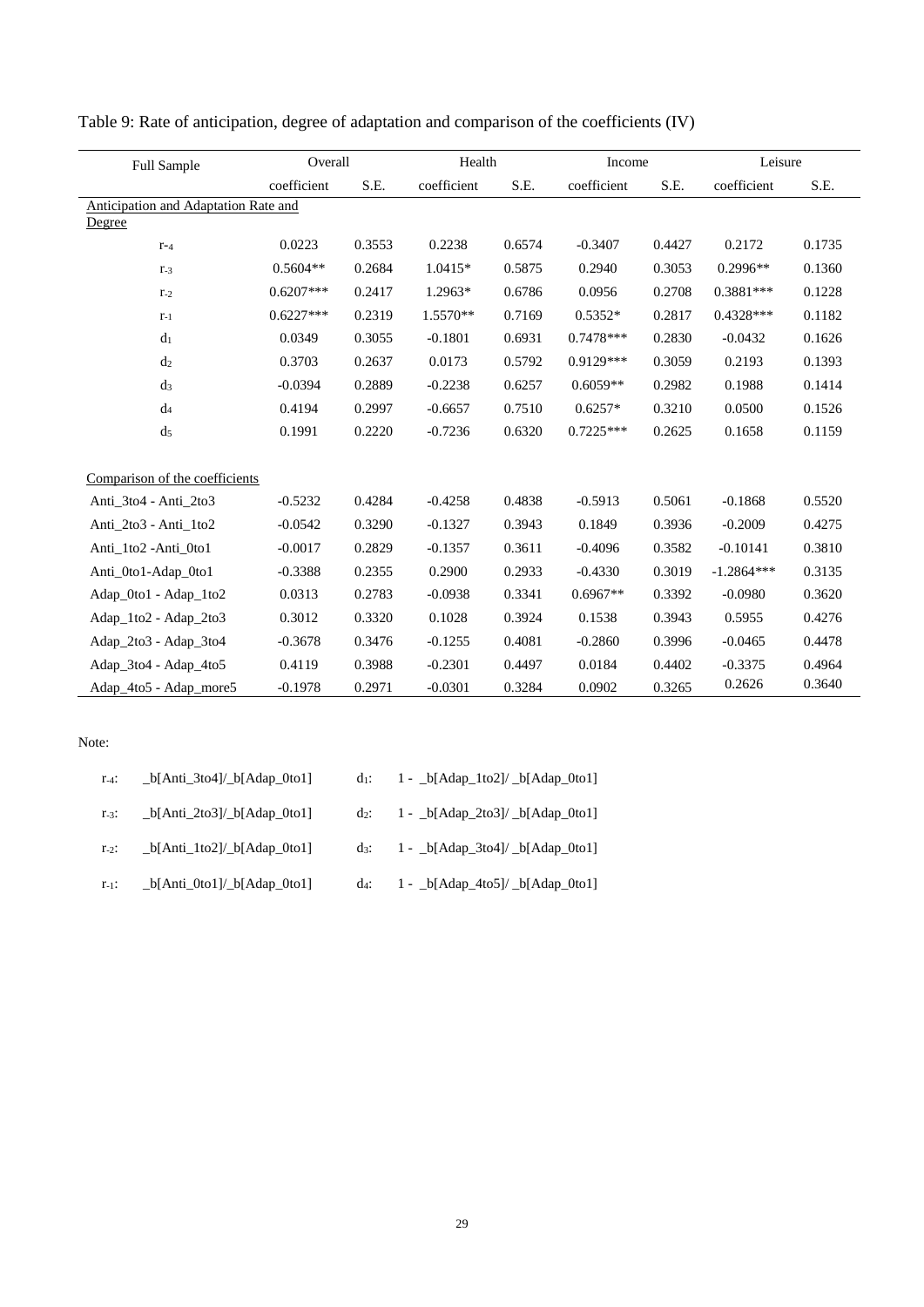| Full Sample                          |             | Overall |             | Health |             | Income |              | Leisure |  |
|--------------------------------------|-------------|---------|-------------|--------|-------------|--------|--------------|---------|--|
|                                      | coefficient | S.E.    | coefficient | S.E.   | coefficient | S.E.   | coefficient  | S.E.    |  |
| Anticipation and Adaptation Rate and |             |         |             |        |             |        |              |         |  |
| Degree                               |             |         |             |        |             |        |              |         |  |
| $r-4$                                | 0.0223      | 0.3553  | 0.2238      | 0.6574 | $-0.3407$   | 0.4427 | 0.2172       | 0.1735  |  |
| $r_{-3}$                             | $0.5604**$  | 0.2684  | 1.0415*     | 0.5875 | 0.2940      | 0.3053 | $0.2996**$   | 0.1360  |  |
| $r_{-2}$                             | $0.6207***$ | 0.2417  | 1.2963*     | 0.6786 | 0.0956      | 0.2708 | $0.3881***$  | 0.1228  |  |
| $r-1$                                | $0.6227***$ | 0.2319  | 1.5570**    | 0.7169 | $0.5352*$   | 0.2817 | $0.4328***$  | 0.1182  |  |
| d <sub>1</sub>                       | 0.0349      | 0.3055  | $-0.1801$   | 0.6931 | $0.7478***$ | 0.2830 | $-0.0432$    | 0.1626  |  |
| d <sub>2</sub>                       | 0.3703      | 0.2637  | 0.0173      | 0.5792 | 0.9129***   | 0.3059 | 0.2193       | 0.1393  |  |
| d <sub>3</sub>                       | $-0.0394$   | 0.2889  | $-0.2238$   | 0.6257 | $0.6059**$  | 0.2982 | 0.1988       | 0.1414  |  |
| d <sub>4</sub>                       | 0.4194      | 0.2997  | $-0.6657$   | 0.7510 | $0.6257*$   | 0.3210 | 0.0500       | 0.1526  |  |
| d <sub>5</sub>                       | 0.1991      | 0.2220  | $-0.7236$   | 0.6320 | $0.7225***$ | 0.2625 | 0.1658       | 0.1159  |  |
| Comparison of the coefficients       |             |         |             |        |             |        |              |         |  |
| Anti 3to4 - Anti 2to3                | $-0.5232$   | 0.4284  | $-0.4258$   | 0.4838 | $-0.5913$   | 0.5061 | $-0.1868$    | 0.5520  |  |
| Anti 2to3 - Anti 1to2                | $-0.0542$   | 0.3290  | $-0.1327$   | 0.3943 | 0.1849      | 0.3936 | $-0.2009$    | 0.4275  |  |
| Anti_1to2 -Anti_0to1                 | $-0.0017$   | 0.2829  | $-0.1357$   | 0.3611 | $-0.4096$   | 0.3582 | $-0.10141$   | 0.3810  |  |
| Anti_0to1-Adap_0to1                  | $-0.3388$   | 0.2355  | 0.2900      | 0.2933 | $-0.4330$   | 0.3019 | $-1.2864***$ | 0.3135  |  |
| Adap_0to1 - Adap_1to2                | 0.0313      | 0.2783  | $-0.0938$   | 0.3341 | $0.6967**$  | 0.3392 | $-0.0980$    | 0.3620  |  |
| Adap_1to2 - Adap_2to3                | 0.3012      | 0.3320  | 0.1028      | 0.3924 | 0.1538      | 0.3943 | 0.5955       | 0.4276  |  |
| Adap_2to3 - Adap_3to4                | $-0.3678$   | 0.3476  | $-0.1255$   | 0.4081 | $-0.2860$   | 0.3996 | $-0.0465$    | 0.4478  |  |
| Adap_3to4 - Adap_4to5                | 0.4119      | 0.3988  | $-0.2301$   | 0.4497 | 0.0184      | 0.4402 | $-0.3375$    | 0.4964  |  |
| Adap_4to5 - Adap_more5               | $-0.1978$   | 0.2971  | $-0.0301$   | 0.3284 | 0.0902      | 0.3265 | 0.2626       | 0.3640  |  |

Table 9: Rate of anticipation, degree of adaptation and comparison of the coefficients (IV)

Note:

| $T-4$ :    | $\lfloor b \rfloor$ Anti 3to4 $\rfloor$ b $\lfloor$ Adap 0to1 $\rfloor$ | $\mathrm{d}$ 1: | $1 - \frac{b[Adap\_1to2]}{b[Adap\_0to1]}$ |
|------------|-------------------------------------------------------------------------|-----------------|-------------------------------------------|
| $1 - 3$ :  | $_b[Anti_2to3]/b[Adap_0to1]$                                            | $d_2$ :         | $1 - \frac{b[Adap_2to3]}{b[Adap_0to1]}$   |
| $r_{-2}$ : | $_b[Anti_1to2]/b[Adap_0to1]$                                            | $d_3$ :         | $1 - \frac{b[Adap_3to4]}{b[Adap_0to1]}$   |
| $r_{-1}$ : | $_b[Anti_0to1]/b[Adap_0to1]$                                            | $d_4$ :         | 1 - _b[Adap_4to5]/ _b[Adap_0to1]          |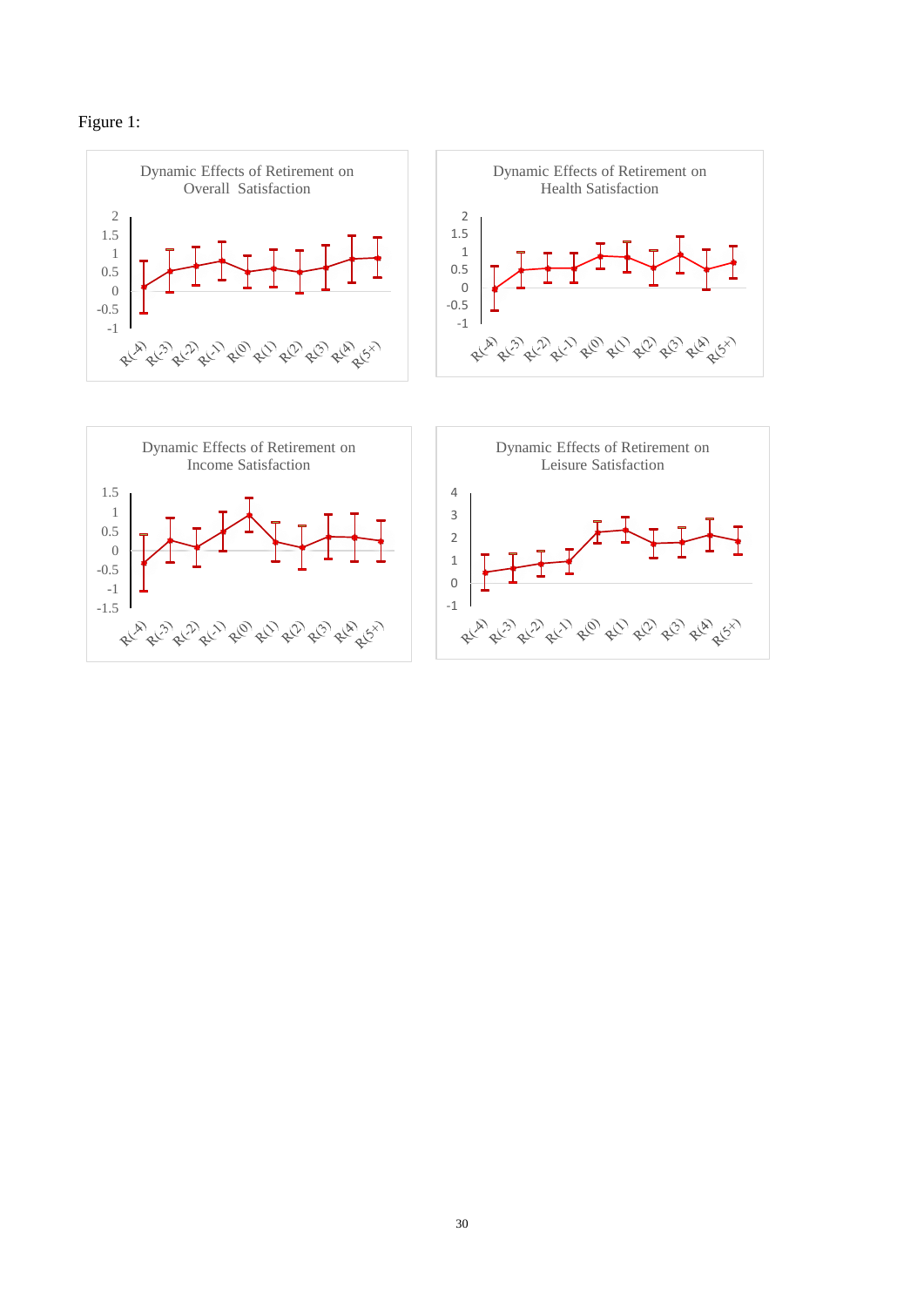

-1 -0.5



-1 0

RLA RL<sup>29</sup> RL<sup>29</sup> RL<sup>09</sup> RL<sup>09</sup> RL<sup>09</sup> RL<sup>08</sup> RL<sup>69</sup>

-1.5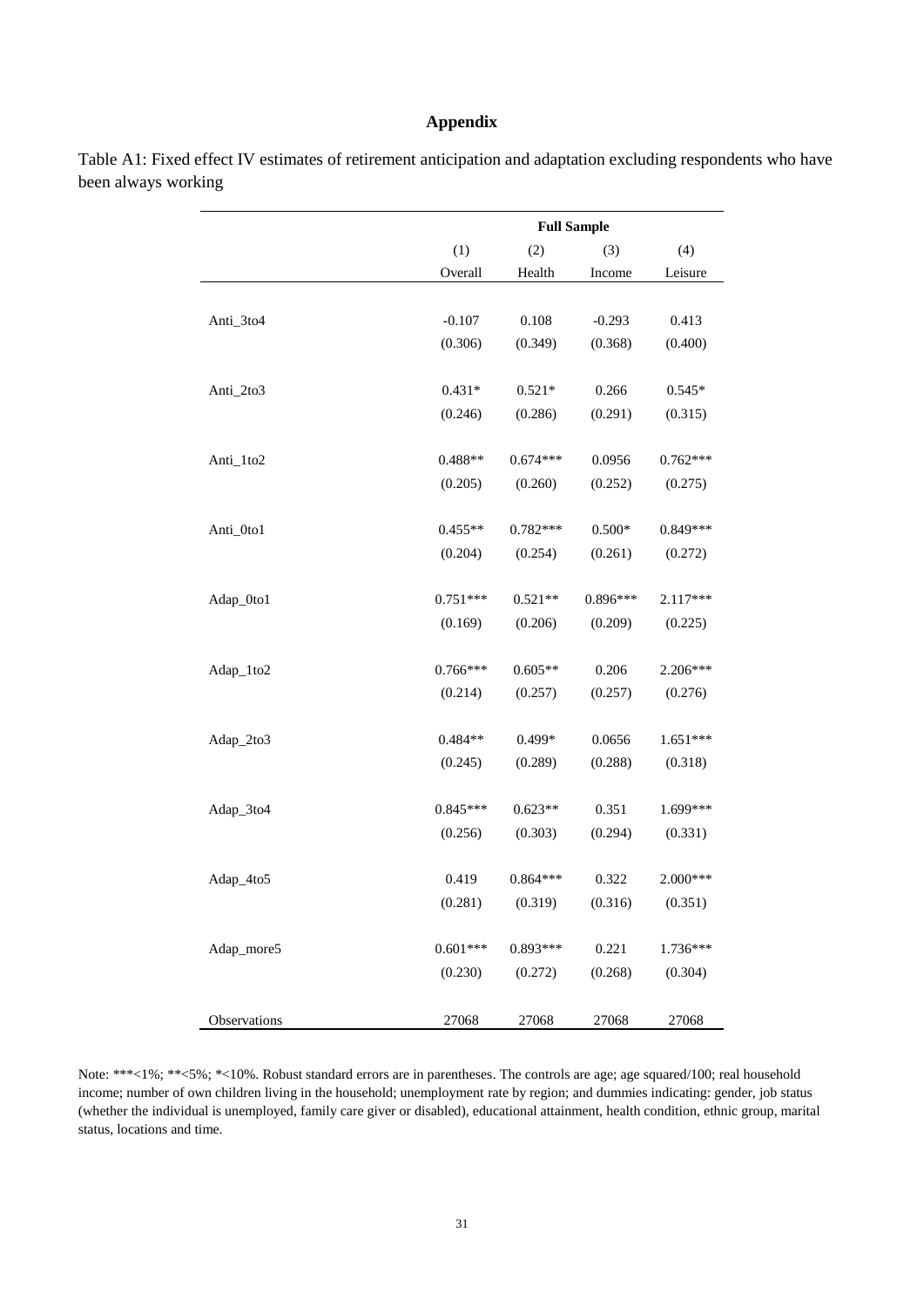#### **Appendix**

|              |            | <b>Full Sample</b> |            |            |  |  |
|--------------|------------|--------------------|------------|------------|--|--|
|              | (1)        | (2)                | (3)        | (4)        |  |  |
|              | Overall    | Health             | Income     | Leisure    |  |  |
|              |            |                    |            |            |  |  |
| Anti_3to4    | $-0.107$   | 0.108              | $-0.293$   | 0.413      |  |  |
|              | (0.306)    | (0.349)            | (0.368)    | (0.400)    |  |  |
| Anti_2to3    | $0.431*$   | $0.521*$           | 0.266      | $0.545*$   |  |  |
|              | (0.246)    | (0.286)            | (0.291)    | (0.315)    |  |  |
| Anti_1to2    | $0.488**$  | $0.674***$         | 0.0956     | $0.762***$ |  |  |
|              | (0.205)    | (0.260)            | (0.252)    | (0.275)    |  |  |
| Anti_0to1    | $0.455**$  | $0.782***$         | $0.500*$   | $0.849***$ |  |  |
|              | (0.204)    | (0.254)            | (0.261)    | (0.272)    |  |  |
| Adap_0to1    | $0.751***$ | $0.521**$          | $0.896***$ | 2.117***   |  |  |
|              | (0.169)    | (0.206)            | (0.209)    | (0.225)    |  |  |
| Adap_1to2    | $0.766***$ | $0.605**$          | 0.206      | 2.206***   |  |  |
|              | (0.214)    | (0.257)            | (0.257)    | (0.276)    |  |  |
| Adap_2to3    | $0.484**$  | 0.499*             | 0.0656     | $1.651***$ |  |  |
|              | (0.245)    | (0.289)            | (0.288)    | (0.318)    |  |  |
| Adap_3to4    | $0.845***$ | $0.623**$          | 0.351      | 1.699***   |  |  |
|              | (0.256)    | (0.303)            | (0.294)    | (0.331)    |  |  |
| Adap_4to5    | 0.419      | $0.864***$         | 0.322      | 2.000***   |  |  |
|              | (0.281)    | (0.319)            | (0.316)    | (0.351)    |  |  |
| Adap_more5   | $0.601***$ | $0.893***$         | 0.221      | 1.736***   |  |  |
|              | (0.230)    | (0.272)            | (0.268)    | (0.304)    |  |  |
| Observations | 27068      | 27068              | 27068      | 27068      |  |  |

Table A1: Fixed effect IV estimates of retirement anticipation and adaptation excluding respondents who have been always working

Note: \*\*\*<1%; \*\*<5%; \*<10%. Robust standard errors are in parentheses. The controls are age; age squared/100; real household income; number of own children living in the household; unemployment rate by region; and dummies indicating: gender, job status (whether the individual is unemployed, family care giver or disabled), educational attainment, health condition, ethnic group, marital status, locations and time.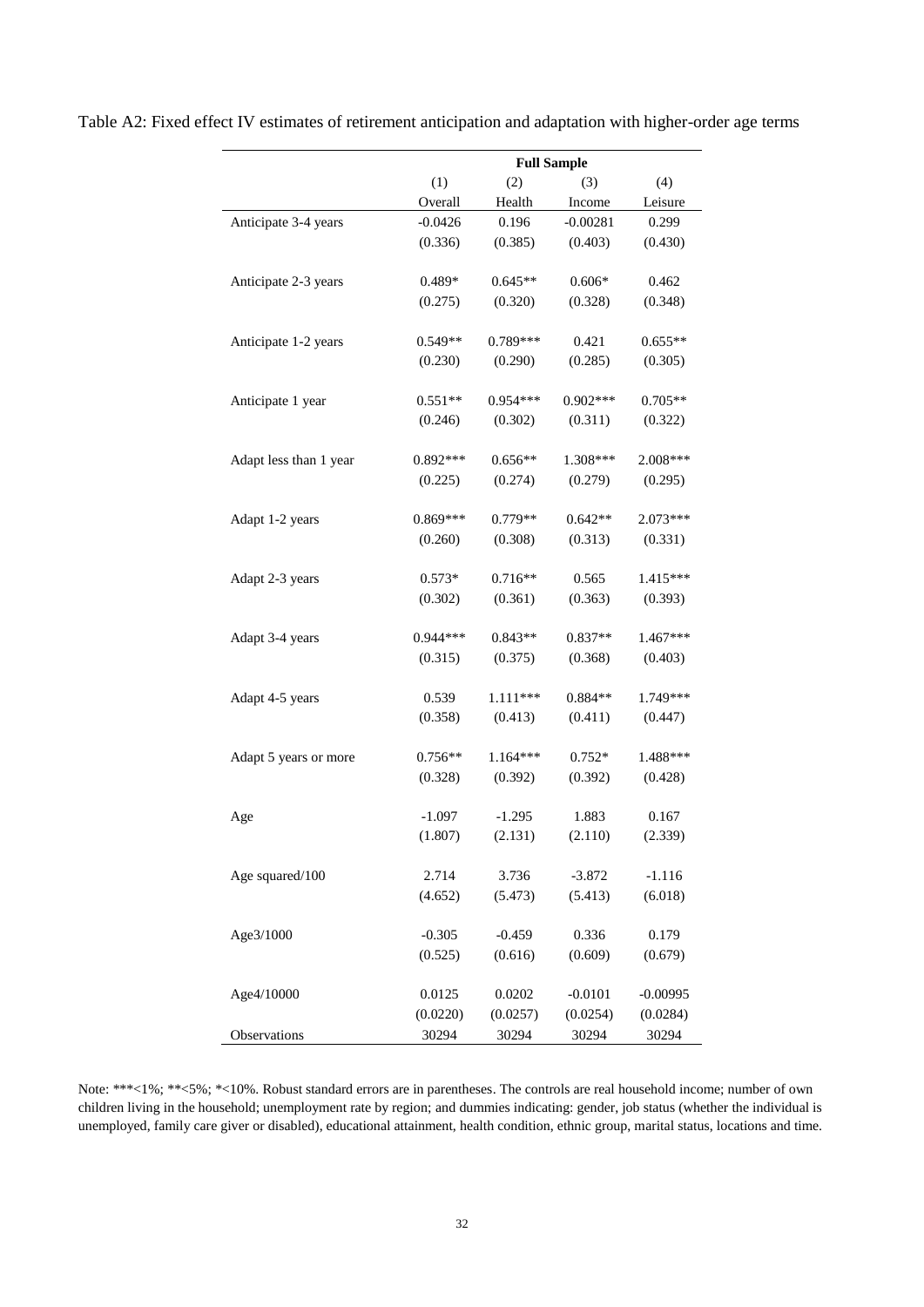|                        | <b>Full Sample</b> |            |                  |            |
|------------------------|--------------------|------------|------------------|------------|
|                        | (1)                | (2)        | (3)              | (4)        |
|                        | Overall            | Health     | Income           | Leisure    |
| Anticipate 3-4 years   | $-0.0426$          | 0.196      | $-0.00281$       | 0.299      |
|                        | (0.336)            | (0.385)    | (0.403)          | (0.430)    |
|                        |                    |            |                  |            |
| Anticipate 2-3 years   | 0.489*             | $0.645**$  | $0.606*$         | 0.462      |
|                        | (0.275)            | (0.320)    | (0.328)          | (0.348)    |
|                        |                    |            |                  |            |
| Anticipate 1-2 years   | $0.549**$          | $0.789***$ | 0.421            | $0.655**$  |
|                        | (0.230)            | (0.290)    | (0.285)          | (0.305)    |
|                        |                    |            |                  |            |
| Anticipate 1 year      | $0.551**$          | $0.954***$ | $0.902***$       | $0.705**$  |
|                        | (0.246)            | (0.302)    | (0.311)          | (0.322)    |
|                        |                    |            |                  |            |
| Adapt less than 1 year | $0.892***$         | $0.656**$  | 1.308***         | 2.008***   |
|                        | (0.225)            | (0.274)    | (0.279)          | (0.295)    |
|                        |                    |            |                  |            |
| Adapt 1-2 years        | $0.869***$         | 0.779**    | $0.642**$        | 2.073***   |
|                        | (0.260)            | (0.308)    | (0.313)          | (0.331)    |
|                        |                    |            |                  |            |
| Adapt 2-3 years        | $0.573*$           | $0.716**$  | 0.565<br>(0.363) | 1.415***   |
|                        | (0.302)            | (0.361)    |                  | (0.393)    |
| Adapt 3-4 years        | $0.944***$         | $0.843**$  | $0.837**$        | $1.467***$ |
|                        | (0.315)            | (0.375)    | (0.368)          | (0.403)    |
|                        |                    |            |                  |            |
| Adapt 4-5 years        | 0.539              | 1.111 ***  | $0.884**$        | 1.749***   |
|                        | (0.358)            | (0.413)    | (0.411)          | (0.447)    |
|                        |                    |            |                  |            |
| Adapt 5 years or more  | $0.756**$          | $1.164***$ | $0.752*$         | 1.488***   |
|                        | (0.328)            | (0.392)    | (0.392)          | (0.428)    |
|                        |                    |            |                  |            |
| Age                    | $-1.097$           | $-1.295$   | 1.883            | 0.167      |
|                        | (1.807)            | (2.131)    | (2.110)          | (2.339)    |
|                        |                    |            |                  |            |
| Age squared/100        | 2.714              | 3.736      | $-3.872$         | $-1.116$   |
|                        | (4.652)            | (5.473)    | (5.413)          | (6.018)    |
|                        |                    |            |                  |            |
| Age3/1000              | $-0.305$           | $-0.459$   | 0.336            | 0.179      |
|                        | (0.525)            | (0.616)    | (0.609)          | (0.679)    |
|                        |                    |            |                  |            |
| Age4/10000             | 0.0125             | 0.0202     | $-0.0101$        | $-0.00995$ |
|                        | (0.0220)           | (0.0257)   | (0.0254)         | (0.0284)   |
| Observations           | 30294              | 30294      | 30294            | 30294      |

Table A2: Fixed effect IV estimates of retirement anticipation and adaptation with higher-order age terms

Note: \*\*\*<1%; \*\*<5%; \*<10%. Robust standard errors are in parentheses. The controls are real household income; number of own children living in the household; unemployment rate by region; and dummies indicating: gender, job status (whether the individual is unemployed, family care giver or disabled), educational attainment, health condition, ethnic group, marital status, locations and time.